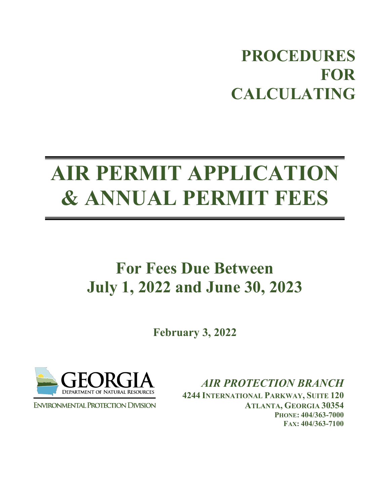# **PROCEDURES FOR CALCULATING**

# **AIR PERMIT APPLICATION & ANNUAL PERMIT FEES**

# **For Fees Due Between July 1, 2022 and June 30, 2023**

**February 3, 2022**



**ENVIRONMENTAL PROTECTION DIVISION** 

*AIR PROTECTION BRANCH*

**4244 INTERNATIONAL PARKWAY, SUITE 120 ATLANTA, GEORGIA 30354 PHONE: 404/363-7000 FAX: 404/363-7100**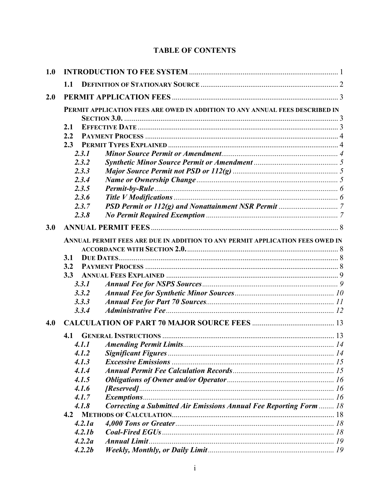# **TABLE OF CONTENTS**

| 1.0 |                                                                               |        |                                                                    |  |  |  |  |
|-----|-------------------------------------------------------------------------------|--------|--------------------------------------------------------------------|--|--|--|--|
|     | 1.1                                                                           |        |                                                                    |  |  |  |  |
| 2.0 |                                                                               |        |                                                                    |  |  |  |  |
|     | PERMIT APPLICATION FEES ARE OWED IN ADDITION TO ANY ANNUAL FEES DESCRIBED IN  |        |                                                                    |  |  |  |  |
|     |                                                                               |        |                                                                    |  |  |  |  |
|     | 2.1                                                                           |        |                                                                    |  |  |  |  |
|     | 2.2                                                                           |        |                                                                    |  |  |  |  |
|     | 2.3                                                                           |        |                                                                    |  |  |  |  |
|     |                                                                               | 2.3.1  |                                                                    |  |  |  |  |
|     |                                                                               | 2.3.2  |                                                                    |  |  |  |  |
|     | 2.3.3                                                                         |        |                                                                    |  |  |  |  |
|     |                                                                               | 2.3.4  |                                                                    |  |  |  |  |
|     |                                                                               | 2.3.5  |                                                                    |  |  |  |  |
|     |                                                                               | 2.3.6  |                                                                    |  |  |  |  |
|     |                                                                               | 2.3.7  |                                                                    |  |  |  |  |
|     |                                                                               | 2.3.8  |                                                                    |  |  |  |  |
| 3.0 |                                                                               |        |                                                                    |  |  |  |  |
|     | ANNUAL PERMIT FEES ARE DUE IN ADDITION TO ANY PERMIT APPLICATION FEES OWED IN |        |                                                                    |  |  |  |  |
|     |                                                                               |        |                                                                    |  |  |  |  |
|     | 3.1                                                                           |        |                                                                    |  |  |  |  |
|     | 3.2                                                                           |        |                                                                    |  |  |  |  |
|     | 3.3                                                                           |        |                                                                    |  |  |  |  |
|     |                                                                               | 3.3.1  |                                                                    |  |  |  |  |
|     | 3.3.2                                                                         |        |                                                                    |  |  |  |  |
|     | 3.3.3                                                                         |        |                                                                    |  |  |  |  |
|     |                                                                               | 3.3.4  |                                                                    |  |  |  |  |
| 4.0 |                                                                               |        |                                                                    |  |  |  |  |
|     | 4.1                                                                           |        |                                                                    |  |  |  |  |
|     |                                                                               | 4.1.1  |                                                                    |  |  |  |  |
|     |                                                                               | 4.1.2  |                                                                    |  |  |  |  |
|     |                                                                               | 4.1.3  |                                                                    |  |  |  |  |
|     |                                                                               | 4.1.4  |                                                                    |  |  |  |  |
|     |                                                                               | 4.1.5  |                                                                    |  |  |  |  |
|     |                                                                               | 4.1.6  |                                                                    |  |  |  |  |
|     | 4.1.7<br>4.1.8                                                                |        |                                                                    |  |  |  |  |
|     |                                                                               |        | Correcting a Submitted Air Emissions Annual Fee Reporting Form  18 |  |  |  |  |
|     |                                                                               |        |                                                                    |  |  |  |  |
|     |                                                                               | 4.2.1a |                                                                    |  |  |  |  |
|     |                                                                               | 4.2.1b |                                                                    |  |  |  |  |
|     |                                                                               | 4.2.2a |                                                                    |  |  |  |  |
|     |                                                                               | 4.2.2b |                                                                    |  |  |  |  |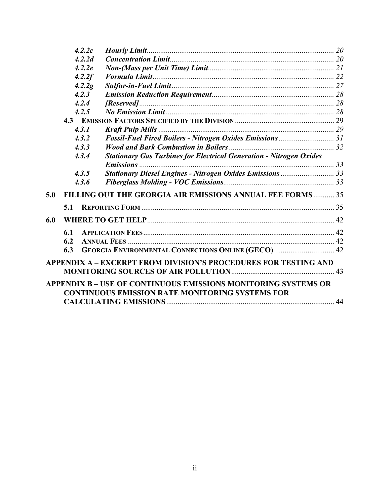|     | 4.2.2c |                                                                            |  |
|-----|--------|----------------------------------------------------------------------------|--|
|     | 4.2.2d |                                                                            |  |
|     | 4.2.2e |                                                                            |  |
|     | 4.2.2f |                                                                            |  |
|     | 4.2.2g |                                                                            |  |
|     | 4.2.3  |                                                                            |  |
|     | 4.2.4  |                                                                            |  |
|     | 4.2.5  |                                                                            |  |
|     |        |                                                                            |  |
|     | 4.3.1  |                                                                            |  |
|     | 4.3.2  |                                                                            |  |
|     | 4.3.3  |                                                                            |  |
|     | 4.3.4  | <b>Stationary Gas Turbines for Electrical Generation - Nitrogen Oxides</b> |  |
|     |        |                                                                            |  |
|     | 4.3.5  | Stationary Diesel Engines - Nitrogen Oxides Emissions  33                  |  |
|     | 4.3.6  |                                                                            |  |
| 5.0 |        | <b>FILLING OUT THE GEORGIA AIR EMISSIONS ANNUAL FEE FORMS 35</b>           |  |
|     | 5.1    |                                                                            |  |
| 6.0 |        |                                                                            |  |
|     | 6.1    |                                                                            |  |
|     | 6.2    |                                                                            |  |
|     | 6.3    | GEORGIA ENVIRONMENTAL CONNECTIONS ONLINE (GECO)  42                        |  |
|     |        | <b>APPENDIX A - EXCERPT FROM DIVISION'S PROCEDURES FOR TESTING AND</b>     |  |
|     |        |                                                                            |  |
|     |        | <b>APPENDIX B - USE OF CONTINUOUS EMISSIONS MONITORING SYSTEMS OR</b>      |  |
|     |        | <b>CONTINUOUS EMISSION RATE MONITORING SYSTEMS FOR</b>                     |  |
|     |        |                                                                            |  |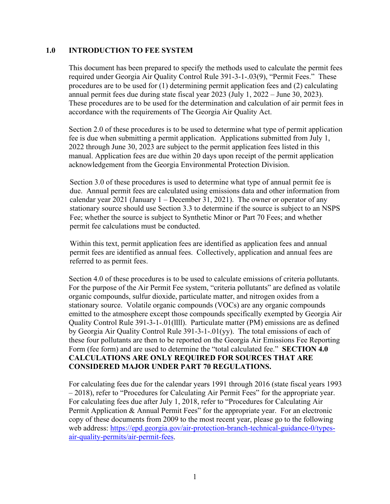#### <span id="page-3-0"></span>**1.0 INTRODUCTION TO FEE SYSTEM**

This document has been prepared to specify the methods used to calculate the permit fees required under Georgia Air Quality Control Rule 391-3-1-.03(9), "Permit Fees." These procedures are to be used for (1) determining permit application fees and (2) calculating annual permit fees due during state fiscal year 2023 (July 1, 2022 – June 30, 2023). These procedures are to be used for the determination and calculation of air permit fees in accordance with the requirements of The Georgia Air Quality Act.

Section 2.0 of these procedures is to be used to determine what type of permit application fee is due when submitting a permit application. Applications submitted from July 1, 2022 through June 30, 2023 are subject to the permit application fees listed in this manual. Application fees are due within 20 days upon receipt of the permit application acknowledgement from the Georgia Environmental Protection Division.

Section 3.0 of these procedures is used to determine what type of annual permit fee is due. Annual permit fees are calculated using emissions data and other information from calendar year 2021 (January  $1 -$  December 31, 2021). The owner or operator of any stationary source should use Section 3.3 to determine if the source is subject to an NSPS Fee; whether the source is subject to Synthetic Minor or Part 70 Fees; and whether permit fee calculations must be conducted.

Within this text, permit application fees are identified as application fees and annual permit fees are identified as annual fees. Collectively, application and annual fees are referred to as permit fees.

Section 4.0 of these procedures is to be used to calculate emissions of criteria pollutants. For the purpose of the Air Permit Fee system, "criteria pollutants" are defined as volatile organic compounds, sulfur dioxide, particulate matter, and nitrogen oxides from a stationary source. Volatile organic compounds (VOCs) are any organic compounds emitted to the atmosphere except those compounds specifically exempted by Georgia Air Quality Control Rule 391-3-1-.01(llll). Particulate matter (PM) emissions are as defined by Georgia Air Quality Control Rule 391-3-1-.01(yy). The total emissions of each of these four pollutants are then to be reported on the Georgia Air Emissions Fee Reporting Form (fee form) and are used to determine the "total calculated fee." **SECTION 4.0 CALCULATIONS ARE ONLY REQUIRED FOR SOURCES THAT ARE CONSIDERED MAJOR UNDER PART 70 REGULATIONS.**

For calculating fees due for the calendar years 1991 through 2016 (state fiscal years 1993 – 2018), refer to "Procedures for Calculating Air Permit Fees" for the appropriate year. For calculating fees due after July 1, 2018, refer to "Procedures for Calculating Air Permit Application & Annual Permit Fees" for the appropriate year. For an electronic copy of these documents from 2009 to the most recent year, please go to the following web address: [https://epd.georgia.gov/air-protection-branch-technical-guidance-0/types](https://epd.georgia.gov/air-protection-branch-technical-guidance-0/types-air-quality-permits/air-permit-fees)[air-quality-permits/air-permit-fees.](https://epd.georgia.gov/air-protection-branch-technical-guidance-0/types-air-quality-permits/air-permit-fees)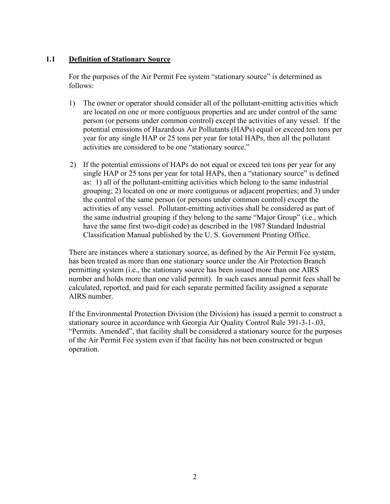# <span id="page-4-0"></span>**1.1 Definition of Stationary Source**

For the purposes of the Air Permit Fee system "stationary source" is determined as follows:

- 1) The owner or operator should consider all of the pollutant-emitting activities which are located on one or more contiguous properties and are under control of the same person (or persons under common control) except the activities of any vessel. If the potential emissions of Hazardous Air Pollutants (HAPs) equal or exceed ten tons per year for any single HAP or 25 tons per year for total HAPs, then all the pollutant activities are considered to be one "stationary source."
- 2) If the potential emissions of HAPs do not equal or exceed ten tons per year for any single HAP or 25 tons per year for total HAPs, then a "stationary source" is defined as: 1) all of the pollutant-emitting activities which belong to the same industrial grouping; 2) located on one or more contiguous or adjacent properties; and 3) under the control of the same person (or persons under common control) except the activities of any vessel. Pollutant-emitting activities shall be considered as part of the same industrial grouping if they belong to the same "Major Group" (i.e., which have the same first two-digit code) as described in the 1987 Standard Industrial Classification Manual published by the U. S. Government Printing Office.

There are instances where a stationary source, as defined by the Air Permit Fee system, has been treated as more than one stationary source under the Air Protection Branch permitting system (i.e., the stationary source has been issued more than one AIRS number and holds more than one valid permit). In such cases annual permit fees shall be calculated, reported, and paid for each separate permitted facility assigned a separate AIRS number.

If the Environmental Protection Division (the Division) has issued a permit to construct a stationary source in accordance with Georgia Air Quality Control Rule 391-3-1-.03, "Permits. Amended", that facility shall be considered a stationary source for the purposes of the Air Permit Fee system even if that facility has not been constructed or begun operation.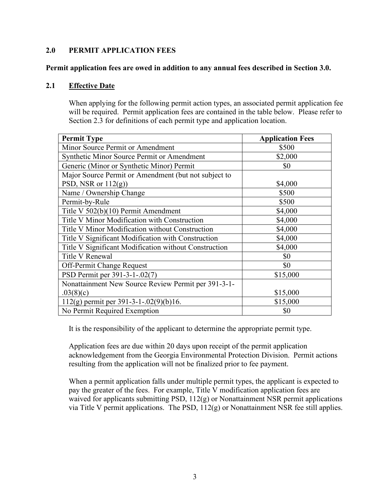#### <span id="page-5-0"></span>**2.0 PERMIT APPLICATION FEES**

#### <span id="page-5-1"></span>**Permit application fees are owed in addition to any annual fees described in Section 3.0.**

#### <span id="page-5-2"></span>**2.1 Effective Date**

When applying for the following permit action types, an associated permit application fee will be required. Permit application fees are contained in the table below. Please refer to Section 2.3 for definitions of each permit type and application location.

| <b>Permit Type</b>                                    | <b>Application Fees</b> |  |
|-------------------------------------------------------|-------------------------|--|
| Minor Source Permit or Amendment                      | \$500                   |  |
| Synthetic Minor Source Permit or Amendment            | \$2,000                 |  |
| Generic (Minor or Synthetic Minor) Permit             | \$0                     |  |
| Major Source Permit or Amendment (but not subject to  |                         |  |
| PSD, NSR or $112(g)$ )                                | \$4,000                 |  |
| Name / Ownership Change                               | \$500                   |  |
| Permit-by-Rule                                        | \$500                   |  |
| Title V 502(b)(10) Permit Amendment                   | \$4,000                 |  |
| Title V Minor Modification with Construction          | \$4,000                 |  |
| Title V Minor Modification without Construction       | \$4,000                 |  |
| Title V Significant Modification with Construction    | \$4,000                 |  |
| Title V Significant Modification without Construction | \$4,000                 |  |
| <b>Title V Renewal</b>                                | \$0                     |  |
| <b>Off-Permit Change Request</b>                      | \$0                     |  |
| PSD Permit per 391-3-1-.02(7)                         | \$15,000                |  |
| Nonattainment New Source Review Permit per 391-3-1-   |                         |  |
| .03(8)(c)                                             | \$15,000                |  |
| $112(g)$ permit per 391-3-1-.02(9)(b)16.              | \$15,000                |  |
| No Permit Required Exemption                          | \$0                     |  |

It is the responsibility of the applicant to determine the appropriate permit type.

Application fees are due within 20 days upon receipt of the permit application acknowledgement from the Georgia Environmental Protection Division. Permit actions resulting from the application will not be finalized prior to fee payment.

When a permit application falls under multiple permit types, the applicant is expected to pay the greater of the fees. For example, Title V modification application fees are waived for applicants submitting PSD, 112(g) or Nonattainment NSR permit applications via Title V permit applications. The PSD,  $112(g)$  or Nonattainment NSR fee still applies.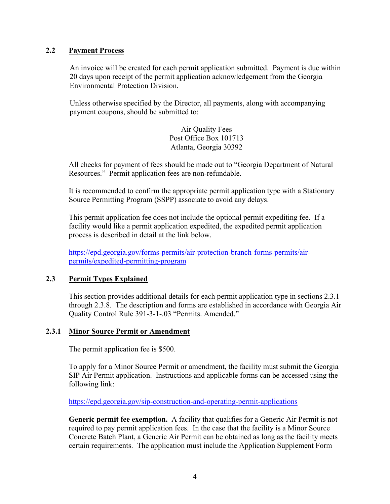# <span id="page-6-0"></span>**2.2 Payment Process**

An invoice will be created for each permit application submitted. Payment is due within 20 days upon receipt of the permit application acknowledgement from the Georgia Environmental Protection Division.

Unless otherwise specified by the Director, all payments, along with accompanying payment coupons, should be submitted to:

> Air Quality Fees Post Office Box 101713 Atlanta, Georgia 30392

All checks for payment of fees should be made out to "Georgia Department of Natural Resources." Permit application fees are non-refundable.

It is recommended to confirm the appropriate permit application type with a Stationary Source Permitting Program (SSPP) associate to avoid any delays.

This permit application fee does not include the optional permit expediting fee. If a facility would like a permit application expedited, the expedited permit application process is described in detail at the link below.

[https://epd.georgia.gov/forms-permits/air-protection-branch-forms-permits/air](https://epd.georgia.gov/forms-permits/air-protection-branch-forms-permits/air-permits/expedited-permitting-program)[permits/expedited-permitting-program](https://epd.georgia.gov/forms-permits/air-protection-branch-forms-permits/air-permits/expedited-permitting-program)

# <span id="page-6-1"></span>**2.3 Permit Types Explained**

This section provides additional details for each permit application type in sections 2.3.1 through 2.3.8. The description and forms are established in accordance with Georgia Air Quality Control Rule 391-3-1-.03 "Permits. Amended."

#### <span id="page-6-2"></span>**2.3.1 Minor Source Permit or Amendment**

The permit application fee is \$500.

To apply for a Minor Source Permit or amendment, the facility must submit the Georgia SIP Air Permit application. Instructions and applicable forms can be accessed using the following link:

<https://epd.georgia.gov/sip-construction-and-operating-permit-applications>

**Generic permit fee exemption.** A facility that qualifies for a Generic Air Permit is not required to pay permit application fees. In the case that the facility is a Minor Source Concrete Batch Plant, a Generic Air Permit can be obtained as long as the facility meets certain requirements. The application must include the Application Supplement Form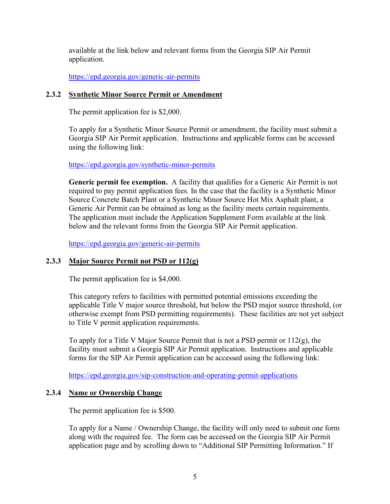available at the link below and relevant forms from the Georgia SIP Air Permit application.

<https://epd.georgia.gov/generic-air-permits>

# <span id="page-7-0"></span>**2.3.2 Synthetic Minor Source Permit or Amendment**

The permit application fee is \$2,000.

To apply for a Synthetic Minor Source Permit or amendment, the facility must submit a Georgia SIP Air Permit application. Instructions and applicable forms can be accessed using the following link:

<https://epd.georgia.gov/synthetic-minor-permits>

**Generic permit fee exemption.** A facility that qualifies for a Generic Air Permit is not required to pay permit application fees. In the case that the facility is a Synthetic Minor Source Concrete Batch Plant or a Synthetic Minor Source Hot Mix Asphalt plant, a Generic Air Permit can be obtained as long as the facility meets certain requirements. The application must include the Application Supplement Form available at the link below and the relevant forms from the Georgia SIP Air Permit application.

<https://epd.georgia.gov/generic-air-permits>

# <span id="page-7-1"></span>**2.3.3 Major Source Permit not PSD or 112(g)**

The permit application fee is \$4,000.

This category refers to facilities with permitted potential emissions exceeding the applicable Title V major source threshold, but below the PSD major source threshold, (or otherwise exempt from PSD permitting requirements). These facilities are not yet subject to Title V permit application requirements.

To apply for a Title V Major Source Permit that is not a PSD permit or 112(g), the facility must submit a Georgia SIP Air Permit application. Instructions and applicable forms for the SIP Air Permit application can be accessed using the following link:

<https://epd.georgia.gov/sip-construction-and-operating-permit-applications>

# <span id="page-7-2"></span>**2.3.4 Name or Ownership Change**

The permit application fee is \$500.

To apply for a Name / Ownership Change, the facility will only need to submit one form along with the required fee. The form can be accessed on the Georgia SIP Air Permit application page and by scrolling down to "Additional SIP Permitting Information." If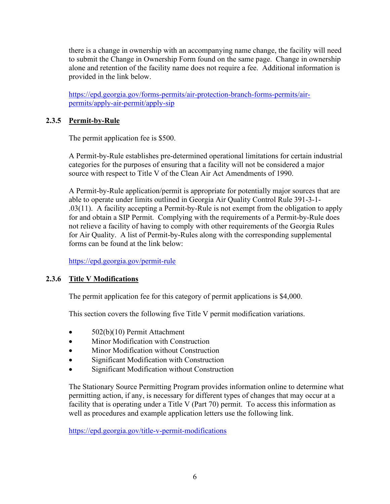there is a change in ownership with an accompanying name change, the facility will need to submit the Change in Ownership Form found on the same page. Change in ownership alone and retention of the facility name does not require a fee. Additional information is provided in the link below.

[https://epd.georgia.gov/forms-permits/air-protection-branch-forms-permits/air](https://epd.georgia.gov/forms-permits/air-protection-branch-forms-permits/air-permits/apply-air-permit/apply-sip)[permits/apply-air-permit/apply-sip](https://epd.georgia.gov/forms-permits/air-protection-branch-forms-permits/air-permits/apply-air-permit/apply-sip)

# <span id="page-8-0"></span>**2.3.5 Permit-by-Rule**

The permit application fee is \$500.

A Permit-by-Rule establishes pre-determined operational limitations for certain industrial categories for the purposes of ensuring that a facility will not be considered a major source with respect to Title V of the Clean Air Act Amendments of 1990.

A Permit-by-Rule application/permit is appropriate for potentially major sources that are able to operate under limits outlined in Georgia Air Quality Control Rule 391-3-1- .03(11). A facility accepting a Permit-by-Rule is not exempt from the obligation to apply for and obtain a SIP Permit. Complying with the requirements of a Permit-by-Rule does not relieve a facility of having to comply with other requirements of the Georgia Rules for Air Quality. A list of Permit-by-Rules along with the corresponding supplemental forms can be found at the link below:

<https://epd.georgia.gov/permit-rule>

# <span id="page-8-1"></span>**2.3.6 Title V Modifications**

The permit application fee for this category of permit applications is \$4,000.

This section covers the following five Title V permit modification variations.

- 502(b)(10) Permit Attachment
- Minor Modification with Construction
- Minor Modification without Construction
- Significant Modification with Construction
- Significant Modification without Construction

The Stationary Source Permitting Program provides information online to determine what permitting action, if any, is necessary for different types of changes that may occur at a facility that is operating under a Title V (Part 70) permit. To access this information as well as procedures and example application letters use the following link.

<https://epd.georgia.gov/title-v-permit-modifications>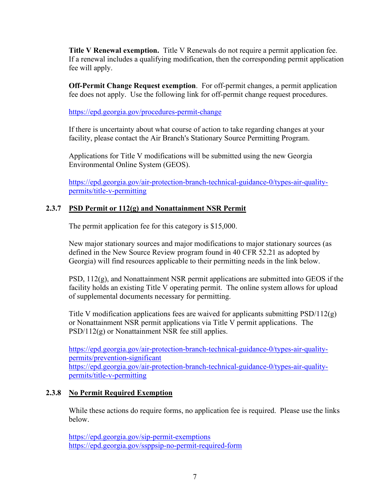**Title V Renewal exemption.** Title V Renewals do not require a permit application fee. If a renewal includes a qualifying modification, then the corresponding permit application fee will apply.

**Off-Permit Change Request exemption**. For off-permit changes, a permit application fee does not apply. Use the following link for off-permit change request procedures.

<https://epd.georgia.gov/procedures-permit-change>

If there is uncertainty about what course of action to take regarding changes at your facility, please contact the Air Branch's Stationary Source Permitting Program.

Applications for Title V modifications will be submitted using the new Georgia Environmental Online System (GEOS).

[https://epd.georgia.gov/air-protection-branch-technical-guidance-0/types-air-quality](https://epd.georgia.gov/air-protection-branch-technical-guidance-0/types-air-quality-permits/title-v-permitting)[permits/title-v-permitting](https://epd.georgia.gov/air-protection-branch-technical-guidance-0/types-air-quality-permits/title-v-permitting)

# <span id="page-9-0"></span>**2.3.7 PSD Permit or 112(g) and Nonattainment NSR Permit**

The permit application fee for this category is \$15,000.

New major stationary sources and major modifications to major stationary sources (as defined in the New Source Review program found in 40 CFR 52.21 as adopted by Georgia) will find resources applicable to their permitting needs in the link below.

PSD, 112(g), and Nonattainment NSR permit applications are submitted into GEOS if the facility holds an existing Title V operating permit. The online system allows for upload of supplemental documents necessary for permitting.

Title V modification applications fees are waived for applicants submitting  $PSD/112(g)$ or Nonattainment NSR permit applications via Title V permit applications. The PSD/112(g) or Nonattainment NSR fee still applies.

[https://epd.georgia.gov/air-protection-branch-technical-guidance-0/types-air-quality](https://epd.georgia.gov/air-protection-branch-technical-guidance-0/types-air-quality-permits/prevention-significant)[permits/prevention-significant](https://epd.georgia.gov/air-protection-branch-technical-guidance-0/types-air-quality-permits/prevention-significant) [https://epd.georgia.gov/air-protection-branch-technical-guidance-0/types-air-quality](https://epd.georgia.gov/air-protection-branch-technical-guidance-0/types-air-quality-permits/title-v-permitting)[permits/title-v-permitting](https://epd.georgia.gov/air-protection-branch-technical-guidance-0/types-air-quality-permits/title-v-permitting)

# <span id="page-9-1"></span>**2.3.8 No Permit Required Exemption**

While these actions do require forms, no application fee is required. Please use the links below.

<https://epd.georgia.gov/sip-permit-exemptions> <https://epd.georgia.gov/ssppsip-no-permit-required-form>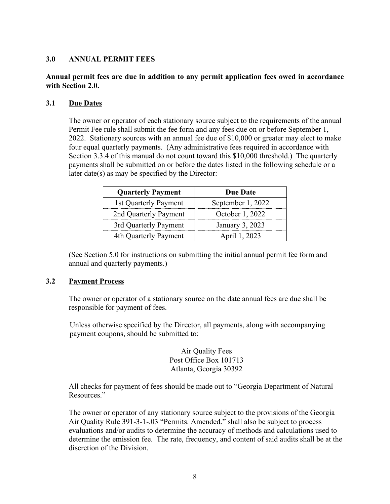#### <span id="page-10-0"></span>**3.0 ANNUAL PERMIT FEES**

# <span id="page-10-1"></span>**Annual permit fees are due in addition to any permit application fees owed in accordance with Section 2.0.**

#### <span id="page-10-2"></span>**3.1 Due Dates**

The owner or operator of each stationary source subject to the requirements of the annual Permit Fee rule shall submit the fee form and any fees due on or before September 1, 2022. Stationary sources with an annual fee due of \$10,000 or greater may elect to make four equal quarterly payments. (Any administrative fees required in accordance with Section 3.3.4 of this manual do not count toward this \$10,000 threshold.) The quarterly payments shall be submitted on or before the dates listed in the following schedule or a later date(s) as may be specified by the Director:

| <b>Quarterly Payment</b> | Due Date          |
|--------------------------|-------------------|
| 1st Quarterly Payment    | September 1, 2022 |
| 2nd Quarterly Payment    | October 1, 2022   |
| 3rd Quarterly Payment    | January 3, 2023   |
| 4th Quarterly Payment    | April 1, 2023     |

(See Section 5.0 for instructions on submitting the initial annual permit fee form and annual and quarterly payments.)

#### <span id="page-10-3"></span>**3.2 Payment Process**

The owner or operator of a stationary source on the date annual fees are due shall be responsible for payment of fees.

Unless otherwise specified by the Director, all payments, along with accompanying payment coupons, should be submitted to:

> Air Quality Fees Post Office Box 101713 Atlanta, Georgia 30392

All checks for payment of fees should be made out to "Georgia Department of Natural Resources."

The owner or operator of any stationary source subject to the provisions of the Georgia Air Quality Rule 391-3-1-.03 "Permits. Amended." shall also be subject to process evaluations and/or audits to determine the accuracy of methods and calculations used to determine the emission fee. The rate, frequency, and content of said audits shall be at the discretion of the Division.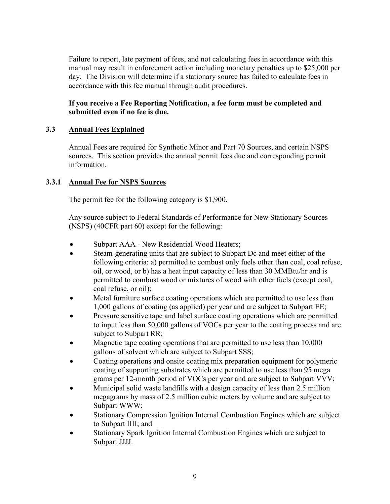Failure to report, late payment of fees, and not calculating fees in accordance with this manual may result in enforcement action including monetary penalties up to \$25,000 per day. The Division will determine if a stationary source has failed to calculate fees in accordance with this fee manual through audit procedures.

# **If you receive a Fee Reporting Notification, a fee form must be completed and submitted even if no fee is due.**

# <span id="page-11-0"></span>**3.3 Annual Fees Explained**

Annual Fees are required for Synthetic Minor and Part 70 Sources, and certain NSPS sources. This section provides the annual permit fees due and corresponding permit information.

# <span id="page-11-1"></span>**3.3.1 Annual Fee for NSPS Sources**

The permit fee for the following category is \$1,900.

Any source subject to Federal Standards of Performance for New Stationary Sources (NSPS) (40CFR part 60) except for the following:

- Subpart AAA New Residential Wood Heaters;
- Steam-generating units that are subject to Subpart Dc and meet either of the following criteria: a) permitted to combust only fuels other than coal, coal refuse, oil, or wood, or b) has a heat input capacity of less than 30 MMBtu/hr and is permitted to combust wood or mixtures of wood with other fuels (except coal, coal refuse, or oil);
- Metal furniture surface coating operations which are permitted to use less than 1,000 gallons of coating (as applied) per year and are subject to Subpart EE;
- Pressure sensitive tape and label surface coating operations which are permitted to input less than 50,000 gallons of VOCs per year to the coating process and are subject to Subpart RR;
- Magnetic tape coating operations that are permitted to use less than 10,000 gallons of solvent which are subject to Subpart SSS;
- Coating operations and onsite coating mix preparation equipment for polymeric coating of supporting substrates which are permitted to use less than 95 mega grams per 12-month period of VOCs per year and are subject to Subpart VVV;
- Municipal solid waste landfills with a design capacity of less than 2.5 million megagrams by mass of 2.5 million cubic meters by volume and are subject to Subpart WWW;
- Stationary Compression Ignition Internal Combustion Engines which are subject to Subpart IIII; and
- Stationary Spark Ignition Internal Combustion Engines which are subject to Subpart JJJJ.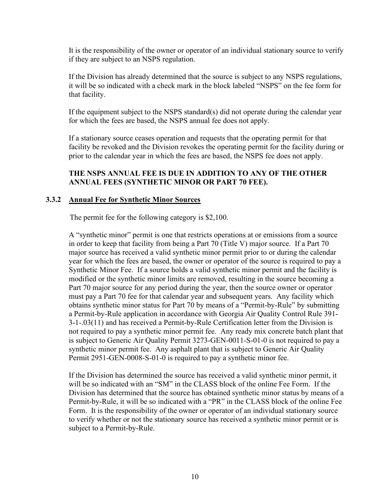It is the responsibility of the owner or operator of an individual stationary source to verify if they are subject to an NSPS regulation.

If the Division has already determined that the source is subject to any NSPS regulations, it will be so indicated with a check mark in the block labeled "NSPS" on the fee form for that facility.

If the equipment subject to the NSPS standard(s) did not operate during the calendar year for which the fees are based, the NSPS annual fee does not apply.

If a stationary source ceases operation and requests that the operating permit for that facility be revoked and the Division revokes the operating permit for the facility during or prior to the calendar year in which the fees are based, the NSPS fee does not apply.

# **THE NSPS ANNUAL FEE IS DUE IN ADDITION TO ANY OF THE OTHER ANNUAL FEES (SYNTHETIC MINOR OR PART 70 FEE).**

#### <span id="page-12-0"></span>**3.3.2 Annual Fee for Synthetic Minor Sources**

The permit fee for the following category is \$2,100.

A "synthetic minor" permit is one that restricts operations at or emissions from a source in order to keep that facility from being a Part 70 (Title V) major source. If a Part 70 major source has received a valid synthetic minor permit prior to or during the calendar year for which the fees are based, the owner or operator of the source is required to pay a Synthetic Minor Fee. If a source holds a valid synthetic minor permit and the facility is modified or the synthetic minor limits are removed, resulting in the source becoming a Part 70 major source for any period during the year, then the source owner or operator must pay a Part 70 fee for that calendar year and subsequent years. Any facility which obtains synthetic minor status for Part 70 by means of a "Permit-by-Rule" by submitting a Permit-by-Rule application in accordance with Georgia Air Quality Control Rule 391- 3-1-.03(11) and has received a Permit-by-Rule Certification letter from the Division is not required to pay a synthetic minor permit fee. Any ready mix concrete batch plant that is subject to Generic Air Quality Permit 3273-GEN-0011-S-01-0 is not required to pay a synthetic minor permit fee. Any asphalt plant that is subject to Generic Air Quality Permit 2951-GEN-0008-S-01-0 is required to pay a synthetic minor fee.

If the Division has determined the source has received a valid synthetic minor permit, it will be so indicated with an "SM" in the CLASS block of the online Fee Form. If the Division has determined that the source has obtained synthetic minor status by means of a Permit-by-Rule, it will be so indicated with a "PR" in the CLASS block of the online Fee Form. It is the responsibility of the owner or operator of an individual stationary source to verify whether or not the stationary source has received a synthetic minor permit or is subject to a Permit-by-Rule.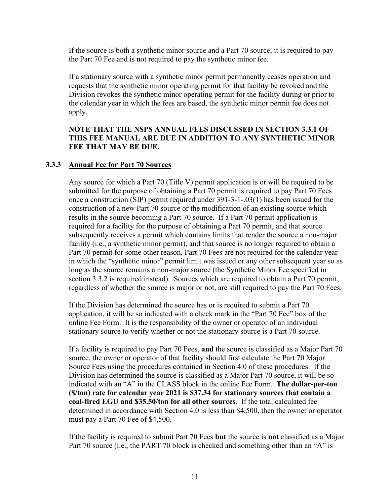If the source is both a synthetic minor source and a Part 70 source, it is required to pay the Part 70 Fee and is not required to pay the synthetic minor fee.

If a stationary source with a synthetic minor permit permanently ceases operation and requests that the synthetic minor operating permit for that facility be revoked and the Division revokes the synthetic minor operating permit for the facility during or prior to the calendar year in which the fees are based, the synthetic minor permit fee does not apply.

# **NOTE THAT THE NSPS ANNUAL FEES DISCUSSED IN SECTION 3.3.1 OF THIS FEE MANUAL ARE DUE IN ADDITION TO ANY SYNTHETIC MINOR FEE THAT MAY BE DUE.**

# <span id="page-13-0"></span>**3.3.3 Annual Fee for Part 70 Sources**

Any source for which a Part 70 (Title V) permit application is or will be required to be submitted for the purpose of obtaining a Part 70 permit is required to pay Part 70 Fees once a construction (SIP) permit required under 391-3-1-.03(1) has been issued for the construction of a new Part 70 source or the modification of an existing source which results in the source becoming a Part 70 source. If a Part 70 permit application is required for a facility for the purpose of obtaining a Part 70 permit, and that source subsequently receives a permit which contains limits that render the source a non-major facility (i.e., a synthetic minor permit), and that source is no longer required to obtain a Part 70 permit for some other reason, Part 70 Fees are not required for the calendar year in which the "synthetic minor" permit limit was issued or any other subsequent year so as long as the source remains a non-major source (the Synthetic Minor Fee specified in section 3.3.2 is required instead). Sources which are required to obtain a Part 70 permit, regardless of whether the source is major or not, are still required to pay the Part 70 Fees.

If the Division has determined the source has or is required to submit a Part 70 application, it will be so indicated with a check mark in the "Part 70 Fee" box of the online Fee Form. It is the responsibility of the owner or operator of an individual stationary source to verify whether or not the stationary source is a Part 70 source.

If a facility is required to pay Part 70 Fees, **and** the source is classified as a Major Part 70 source, the owner or operator of that facility should first calculate the Part 70 Major Source Fees using the procedures contained in Section 4.0 of these procedures. If the Division has determined the source is classified as a Major Part 70 source, it will be so indicated with an "A" in the CLASS block in the online Fee Form. **The dollar-per-ton (\$/ton) rate for calendar year 2021 is \$37.34 for stationary sources that contain a coal-fired EGU and \$35.50/ton for all other sources.** If the total calculated fee determined in accordance with Section 4.0 is less than \$4,500, then the owner or operator must pay a Part 70 Fee of \$4,500.

If the facility is required to submit Part 70 Fees **but** the source is **not** classified as a Major Part 70 source (i.e., the PART 70 block is checked and something other than an "A" is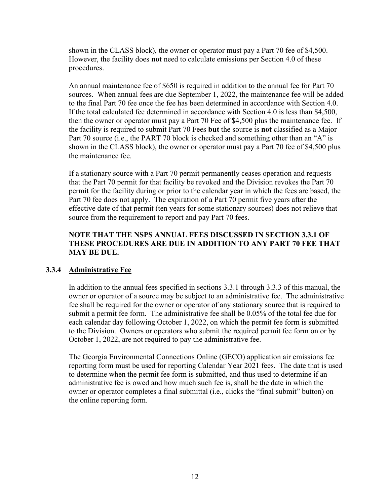shown in the CLASS block), the owner or operator must pay a Part 70 fee of \$4,500. However, the facility does **not** need to calculate emissions per Section 4.0 of these procedures.

An annual maintenance fee of \$650 is required in addition to the annual fee for Part 70 sources. When annual fees are due September 1, 2022, the maintenance fee will be added to the final Part 70 fee once the fee has been determined in accordance with Section 4.0. If the total calculated fee determined in accordance with Section 4.0 is less than \$4,500, then the owner or operator must pay a Part 70 Fee of \$4,500 plus the maintenance fee. If the facility is required to submit Part 70 Fees **but** the source is **not** classified as a Major Part 70 source (i.e., the PART 70 block is checked and something other than an "A" is shown in the CLASS block), the owner or operator must pay a Part 70 fee of \$4,500 plus the maintenance fee.

If a stationary source with a Part 70 permit permanently ceases operation and requests that the Part 70 permit for that facility be revoked and the Division revokes the Part 70 permit for the facility during or prior to the calendar year in which the fees are based, the Part 70 fee does not apply. The expiration of a Part 70 permit five years after the effective date of that permit (ten years for some stationary sources) does not relieve that source from the requirement to report and pay Part 70 fees.

# **NOTE THAT THE NSPS ANNUAL FEES DISCUSSED IN SECTION 3.3.1 OF THESE PROCEDURES ARE DUE IN ADDITION TO ANY PART 70 FEE THAT MAY BE DUE.**

# <span id="page-14-0"></span>**3.3.4 Administrative Fee**

In addition to the annual fees specified in sections 3.3.1 through 3.3.3 of this manual, the owner or operator of a source may be subject to an administrative fee. The administrative fee shall be required for the owner or operator of any stationary source that is required to submit a permit fee form. The administrative fee shall be 0.05% of the total fee due for each calendar day following October 1, 2022, on which the permit fee form is submitted to the Division. Owners or operators who submit the required permit fee form on or by October 1, 2022, are not required to pay the administrative fee.

The Georgia Environmental Connections Online (GECO) application air emissions fee reporting form must be used for reporting Calendar Year 2021 fees. The date that is used to determine when the permit fee form is submitted, and thus used to determine if an administrative fee is owed and how much such fee is, shall be the date in which the owner or operator completes a final submittal (i.e., clicks the "final submit" button) on the online reporting form.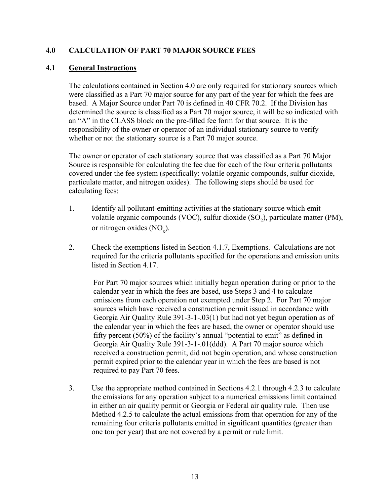# <span id="page-15-0"></span>**4.0 CALCULATION OF PART 70 MAJOR SOURCE FEES**

#### <span id="page-15-1"></span>**4.1 General Instructions**

The calculations contained in Section 4.0 are only required for stationary sources which were classified as a Part 70 major source for any part of the year for which the fees are based. A Major Source under Part 70 is defined in 40 CFR 70.2. If the Division has determined the source is classified as a Part 70 major source, it will be so indicated with an "A" in the CLASS block on the pre-filled fee form for that source. It is the responsibility of the owner or operator of an individual stationary source to verify whether or not the stationary source is a Part 70 major source.

The owner or operator of each stationary source that was classified as a Part 70 Major Source is responsible for calculating the fee due for each of the four criteria pollutants covered under the fee system (specifically: volatile organic compounds, sulfur dioxide, particulate matter, and nitrogen oxides). The following steps should be used for calculating fees:

- 1. Identify all pollutant-emitting activities at the stationary source which emit volatile organic compounds (VOC), sulfur dioxide  $(SO<sub>2</sub>)$ , particulate matter (PM), or nitrogen oxides  $(NO<sub>x</sub>)$ .
- 2. Check the exemptions listed in Section 4.1.7, Exemptions. Calculations are not required for the criteria pollutants specified for the operations and emission units listed in Section 4.17.

For Part 70 major sources which initially began operation during or prior to the calendar year in which the fees are based, use Steps 3 and 4 to calculate emissions from each operation not exempted under Step 2. For Part 70 major sources which have received a construction permit issued in accordance with Georgia Air Quality Rule 391-3-1-.03(1) but had not yet begun operation as of the calendar year in which the fees are based, the owner or operator should use fifty percent (50%) of the facility's annual "potential to emit" as defined in Georgia Air Quality Rule 391-3-1-.01(ddd). A Part 70 major source which received a construction permit, did not begin operation, and whose construction permit expired prior to the calendar year in which the fees are based is not required to pay Part 70 fees.

3. Use the appropriate method contained in Sections 4.2.1 through 4.2.3 to calculate the emissions for any operation subject to a numerical emissions limit contained in either an air quality permit or Georgia or Federal air quality rule. Then use Method 4.2.5 to calculate the actual emissions from that operation for any of the remaining four criteria pollutants emitted in significant quantities (greater than one ton per year) that are not covered by a permit or rule limit.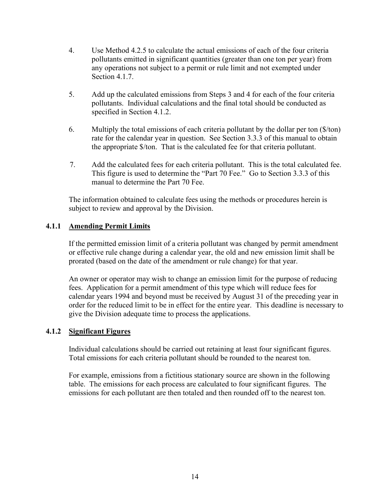- 4. Use Method 4.2.5 to calculate the actual emissions of each of the four criteria pollutants emitted in significant quantities (greater than one ton per year) from any operations not subject to a permit or rule limit and not exempted under Section 4.1.7.
- 5. Add up the calculated emissions from Steps 3 and 4 for each of the four criteria pollutants. Individual calculations and the final total should be conducted as specified in Section 4.1.2.
- 6. Multiply the total emissions of each criteria pollutant by the dollar per ton (\$/ton) rate for the calendar year in question. See Section 3.3.3 of this manual to obtain the appropriate \$/ton. That is the calculated fee for that criteria pollutant.
- 7. Add the calculated fees for each criteria pollutant. This is the total calculated fee. This figure is used to determine the "Part 70 Fee." Go to Section 3.3.3 of this manual to determine the Part 70 Fee.

The information obtained to calculate fees using the methods or procedures herein is subject to review and approval by the Division.

# <span id="page-16-0"></span>**4.1.1 Amending Permit Limits**

If the permitted emission limit of a criteria pollutant was changed by permit amendment or effective rule change during a calendar year, the old and new emission limit shall be prorated (based on the date of the amendment or rule change) for that year.

An owner or operator may wish to change an emission limit for the purpose of reducing fees. Application for a permit amendment of this type which will reduce fees for calendar years 1994 and beyond must be received by August 31 of the preceding year in order for the reduced limit to be in effect for the entire year. This deadline is necessary to give the Division adequate time to process the applications.

# <span id="page-16-1"></span>**4.1.2 Significant Figures**

Individual calculations should be carried out retaining at least four significant figures. Total emissions for each criteria pollutant should be rounded to the nearest ton.

For example, emissions from a fictitious stationary source are shown in the following table. The emissions for each process are calculated to four significant figures. The emissions for each pollutant are then totaled and then rounded off to the nearest ton.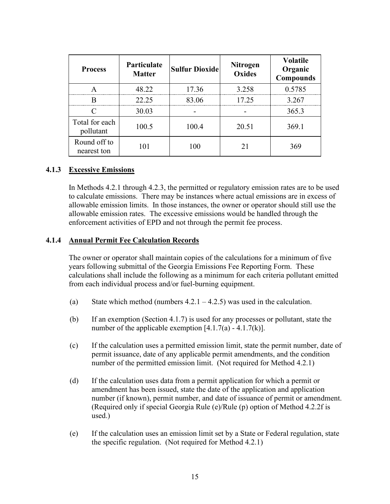| <b>Process</b>              | Particulate<br><b>Matter</b> | <b>Sulfur Dioxide</b> | <b>Nitrogen</b><br><b>Oxides</b> | <b>Volatile</b><br>Organic<br><b>Compounds</b> |
|-----------------------------|------------------------------|-----------------------|----------------------------------|------------------------------------------------|
|                             | 48.22                        | 17.36                 | 3.258                            | 0.5785                                         |
|                             | 22.25                        | 83.06                 | 17.25                            | 3.267                                          |
|                             | 30.03                        |                       |                                  | 365.3                                          |
| Total for each<br>pollutant | 100.5                        | 100.4                 | 20.51                            | 369.1                                          |
| Round off to<br>nearest ton | 101                          | 100                   | 21                               | 369                                            |

#### <span id="page-17-0"></span>**4.1.3 Excessive Emissions**

In Methods 4.2.1 through 4.2.3, the permitted or regulatory emission rates are to be used to calculate emissions. There may be instances where actual emissions are in excess of allowable emission limits. In those instances, the owner or operator should still use the allowable emission rates. The excessive emissions would be handled through the enforcement activities of EPD and not through the permit fee process.

#### <span id="page-17-1"></span>**4.1.4 Annual Permit Fee Calculation Records**

The owner or operator shall maintain copies of the calculations for a minimum of five years following submittal of the Georgia Emissions Fee Reporting Form. These calculations shall include the following as a minimum for each criteria pollutant emitted from each individual process and/or fuel-burning equipment.

- (a) State which method (numbers  $4.2.1 4.2.5$ ) was used in the calculation.
- (b) If an exemption (Section 4.1.7) is used for any processes or pollutant, state the number of the applicable exemption  $[4.1.7(a) - 4.1.7(k)]$ .
- (c) If the calculation uses a permitted emission limit, state the permit number, date of permit issuance, date of any applicable permit amendments, and the condition number of the permitted emission limit. (Not required for Method 4.2.1)
- (d) If the calculation uses data from a permit application for which a permit or amendment has been issued, state the date of the application and application number (if known), permit number, and date of issuance of permit or amendment. (Required only if special Georgia Rule (e)/Rule (p) option of Method 4.2.2f is used.)
- (e) If the calculation uses an emission limit set by a State or Federal regulation, state the specific regulation. (Not required for Method 4.2.1)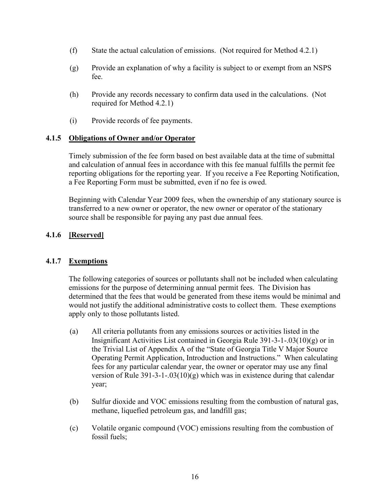- (f) State the actual calculation of emissions. (Not required for Method 4.2.1)
- (g) Provide an explanation of why a facility is subject to or exempt from an NSPS fee.
- (h) Provide any records necessary to confirm data used in the calculations. (Not required for Method 4.2.1)
- (i) Provide records of fee payments.

# <span id="page-18-0"></span>**4.1.5 Obligations of Owner and/or Operator**

Timely submission of the fee form based on best available data at the time of submittal and calculation of annual fees in accordance with this fee manual fulfills the permit fee reporting obligations for the reporting year. If you receive a Fee Reporting Notification, a Fee Reporting Form must be submitted, even if no fee is owed.

Beginning with Calendar Year 2009 fees, when the ownership of any stationary source is transferred to a new owner or operator, the new owner or operator of the stationary source shall be responsible for paying any past due annual fees.

# <span id="page-18-1"></span>**4.1.6 [Reserved]**

# <span id="page-18-2"></span>**4.1.7 Exemptions**

The following categories of sources or pollutants shall not be included when calculating emissions for the purpose of determining annual permit fees. The Division has determined that the fees that would be generated from these items would be minimal and would not justify the additional administrative costs to collect them. These exemptions apply only to those pollutants listed.

- (a) All criteria pollutants from any emissions sources or activities listed in the Insignificant Activities List contained in Georgia Rule  $391-3-1-03(10)(g)$  or in the Trivial List of Appendix A of the "State of Georgia Title V Major Source Operating Permit Application, Introduction and Instructions." When calculating fees for any particular calendar year, the owner or operator may use any final version of Rule 391-3-1-.03(10)(g) which was in existence during that calendar year;
- (b) Sulfur dioxide and VOC emissions resulting from the combustion of natural gas, methane, liquefied petroleum gas, and landfill gas;
- (c) Volatile organic compound (VOC) emissions resulting from the combustion of fossil fuels;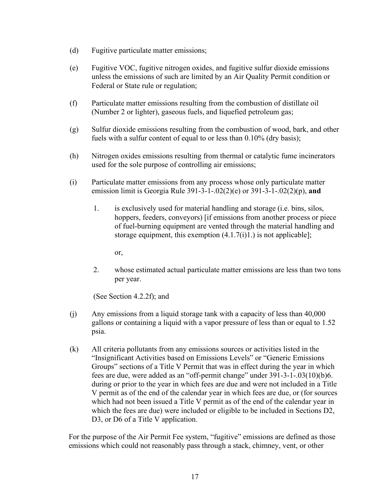- (d) Fugitive particulate matter emissions;
- (e) Fugitive VOC, fugitive nitrogen oxides, and fugitive sulfur dioxide emissions unless the emissions of such are limited by an Air Quality Permit condition or Federal or State rule or regulation;
- (f) Particulate matter emissions resulting from the combustion of distillate oil (Number 2 or lighter), gaseous fuels, and liquefied petroleum gas;
- (g) Sulfur dioxide emissions resulting from the combustion of wood, bark, and other fuels with a sulfur content of equal to or less than 0.10% (dry basis);
- (h) Nitrogen oxides emissions resulting from thermal or catalytic fume incinerators used for the sole purpose of controlling air emissions;
- (i) Particulate matter emissions from any process whose only particulate matter emission limit is Georgia Rule 391-3-1-.02(2)(e) or 391-3-1-.02(2)(p), **and**
	- 1. is exclusively used for material handling and storage (i.e. bins, silos, hoppers, feeders, conveyors) [if emissions from another process or piece of fuel-burning equipment are vented through the material handling and storage equipment, this exemption  $(4.1.7(i)1.)$  is not applicable];

or,

2. whose estimated actual particulate matter emissions are less than two tons per year.

(See Section 4.2.2f); and

- (j) Any emissions from a liquid storage tank with a capacity of less than 40,000 gallons or containing a liquid with a vapor pressure of less than or equal to 1.52 psia.
- (k) All criteria pollutants from any emissions sources or activities listed in the "Insignificant Activities based on Emissions Levels" or "Generic Emissions Groups" sections of a Title V Permit that was in effect during the year in which fees are due, were added as an "off-permit change" under 391-3-1-.03(10)(b)6. during or prior to the year in which fees are due and were not included in a Title V permit as of the end of the calendar year in which fees are due, or (for sources which had not been issued a Title V permit as of the end of the calendar year in which the fees are due) were included or eligible to be included in Sections D2, D3, or D6 of a Title V application.

For the purpose of the Air Permit Fee system, "fugitive" emissions are defined as those emissions which could not reasonably pass through a stack, chimney, vent, or other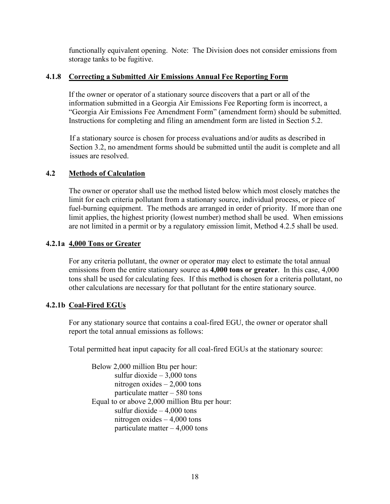functionally equivalent opening. Note: The Division does not consider emissions from storage tanks to be fugitive.

# <span id="page-20-0"></span>**4.1.8 Correcting a Submitted Air Emissions Annual Fee Reporting Form**

If the owner or operator of a stationary source discovers that a part or all of the information submitted in a Georgia Air Emissions Fee Reporting form is incorrect, a "Georgia Air Emissions Fee Amendment Form" (amendment form) should be submitted. Instructions for completing and filing an amendment form are listed in Section 5.2.

If a stationary source is chosen for process evaluations and/or audits as described in Section 3.2, no amendment forms should be submitted until the audit is complete and all issues are resolved.

# <span id="page-20-1"></span>**4.2 Methods of Calculation**

The owner or operator shall use the method listed below which most closely matches the limit for each criteria pollutant from a stationary source, individual process, or piece of fuel-burning equipment. The methods are arranged in order of priority. If more than one limit applies, the highest priority (lowest number) method shall be used. When emissions are not limited in a permit or by a regulatory emission limit, Method 4.2.5 shall be used.

# <span id="page-20-2"></span>**4.2.1a 4,000 Tons or Greater**

For any criteria pollutant, the owner or operator may elect to estimate the total annual emissions from the entire stationary source as **4,000 tons or greater**. In this case, 4,000 tons shall be used for calculating fees. If this method is chosen for a criteria pollutant, no other calculations are necessary for that pollutant for the entire stationary source.

# <span id="page-20-3"></span>**4.2.1b Coal-Fired EGUs**

For any stationary source that contains a coal-fired EGU, the owner or operator shall report the total annual emissions as follows:

Total permitted heat input capacity for all coal-fired EGUs at the stationary source:

Below 2,000 million Btu per hour: sulfur dioxide  $-3,000$  tons nitrogen oxides – 2,000 tons particulate matter – 580 tons Equal to or above 2,000 million Btu per hour: sulfur dioxide  $-4,000$  tons nitrogen oxides – 4,000 tons particulate matter – 4,000 tons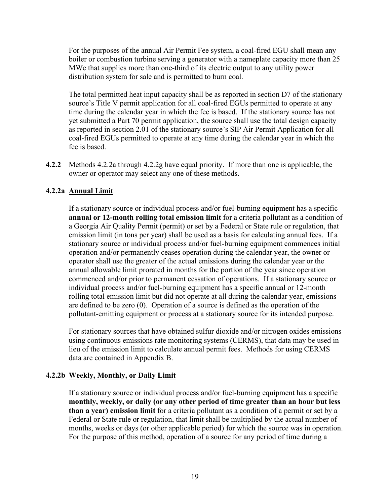For the purposes of the annual Air Permit Fee system, a coal-fired EGU shall mean any boiler or combustion turbine serving a generator with a nameplate capacity more than 25 MWe that supplies more than one-third of its electric output to any utility power distribution system for sale and is permitted to burn coal.

The total permitted heat input capacity shall be as reported in section D7 of the stationary source's Title V permit application for all coal-fired EGUs permitted to operate at any time during the calendar year in which the fee is based. If the stationary source has not yet submitted a Part 70 permit application, the source shall use the total design capacity as reported in section 2.01 of the stationary source's SIP Air Permit Application for all coal-fired EGUs permitted to operate at any time during the calendar year in which the fee is based.

**4.2.2** Methods 4.2.2a through 4.2.2g have equal priority. If more than one is applicable, the owner or operator may select any one of these methods.

# <span id="page-21-0"></span>**4.2.2a Annual Limit**

If a stationary source or individual process and/or fuel-burning equipment has a specific **annual or 12-month rolling total emission limit** for a criteria pollutant as a condition of a Georgia Air Quality Permit (permit) or set by a Federal or State rule or regulation, that emission limit (in tons per year) shall be used as a basis for calculating annual fees. If a stationary source or individual process and/or fuel-burning equipment commences initial operation and/or permanently ceases operation during the calendar year, the owner or operator shall use the greater of the actual emissions during the calendar year or the annual allowable limit prorated in months for the portion of the year since operation commenced and/or prior to permanent cessation of operations. If a stationary source or individual process and/or fuel-burning equipment has a specific annual or 12-month rolling total emission limit but did not operate at all during the calendar year, emissions are defined to be zero (0). Operation of a source is defined as the operation of the pollutant-emitting equipment or process at a stationary source for its intended purpose.

For stationary sources that have obtained sulfur dioxide and/or nitrogen oxides emissions using continuous emissions rate monitoring systems (CERMS), that data may be used in lieu of the emission limit to calculate annual permit fees. Methods for using CERMS data are contained in Appendix B.

#### <span id="page-21-1"></span>**4.2.2b Weekly, Monthly, or Daily Limit**

If a stationary source or individual process and/or fuel-burning equipment has a specific **monthly, weekly, or daily (or any other period of time greater than an hour but less than a year) emission limit** for a criteria pollutant as a condition of a permit or set by a Federal or State rule or regulation, that limit shall be multiplied by the actual number of months, weeks or days (or other applicable period) for which the source was in operation. For the purpose of this method, operation of a source for any period of time during a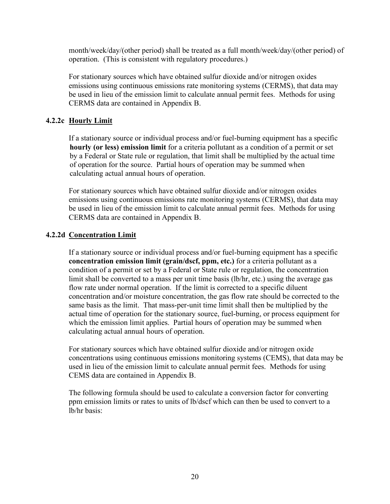month/week/day/(other period) shall be treated as a full month/week/day/(other period) of operation. (This is consistent with regulatory procedures.)

For stationary sources which have obtained sulfur dioxide and/or nitrogen oxides emissions using continuous emissions rate monitoring systems (CERMS), that data may be used in lieu of the emission limit to calculate annual permit fees. Methods for using CERMS data are contained in Appendix B.

# <span id="page-22-0"></span>**4.2.2c Hourly Limit**

If a stationary source or individual process and/or fuel-burning equipment has a specific **hourly (or less) emission limit** for a criteria pollutant as a condition of a permit or set by a Federal or State rule or regulation, that limit shall be multiplied by the actual time of operation for the source. Partial hours of operation may be summed when calculating actual annual hours of operation.

For stationary sources which have obtained sulfur dioxide and/or nitrogen oxides emissions using continuous emissions rate monitoring systems (CERMS), that data may be used in lieu of the emission limit to calculate annual permit fees. Methods for using CERMS data are contained in Appendix B.

# <span id="page-22-1"></span>**4.2.2d Concentration Limit**

If a stationary source or individual process and/or fuel-burning equipment has a specific **concentration emission limit (grain/dscf, ppm, etc.)** for a criteria pollutant as a condition of a permit or set by a Federal or State rule or regulation, the concentration limit shall be converted to a mass per unit time basis (lb/hr, etc.) using the average gas flow rate under normal operation. If the limit is corrected to a specific diluent concentration and/or moisture concentration, the gas flow rate should be corrected to the same basis as the limit. That mass-per-unit time limit shall then be multiplied by the actual time of operation for the stationary source, fuel-burning, or process equipment for which the emission limit applies. Partial hours of operation may be summed when calculating actual annual hours of operation.

For stationary sources which have obtained sulfur dioxide and/or nitrogen oxide concentrations using continuous emissions monitoring systems (CEMS), that data may be used in lieu of the emission limit to calculate annual permit fees. Methods for using CEMS data are contained in Appendix B.

The following formula should be used to calculate a conversion factor for converting ppm emission limits or rates to units of lb/dscf which can then be used to convert to a lb/hr basis: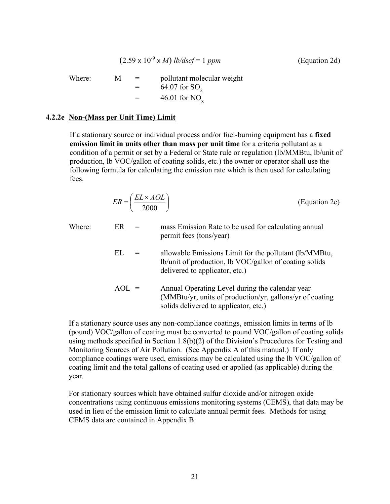$$
(2.59 \times 10^{-9} \times M) \, lb/dscf = 1 \, ppm \tag{Equation 2d}
$$

Where:  $M = \text{pollutant molecular weight}$  $= 64.07$  for SO<sub>2</sub>  $=$  46.01 for NO<sub>x</sub>

#### <span id="page-23-0"></span>**4.2.2e Non-(Mass per Unit Time) Limit**

If a stationary source or individual process and/or fuel-burning equipment has a **fixed emission limit in units other than mass per unit time** for a criteria pollutant as a condition of a permit or set by a Federal or State rule or regulation (lb/MMBtu, lb/unit of production, lb VOC/gallon of coating solids, etc.) the owner or operator shall use the following formula for calculating the emission rate which is then used for calculating fees.

$$
ER = \left(\frac{EL \times AOL}{2000}\right) \tag{Equation 2e}
$$

| Where: | ER      | mass Emission Rate to be used for calculating annual<br>permit fees (tons/year)                                                                      |
|--------|---------|------------------------------------------------------------------------------------------------------------------------------------------------------|
|        | EL.     | allowable Emissions Limit for the pollutant (lb/MMBtu,<br>lb/unit of production, lb VOC/gallon of coating solids<br>delivered to applicator, etc.)   |
|        | $AOL =$ | Annual Operating Level during the calendar year<br>(MMBtu/yr, units of production/yr, gallons/yr of coating<br>solids delivered to applicator, etc.) |

If a stationary source uses any non-compliance coatings, emission limits in terms of lb (pound) VOC/gallon of coating must be converted to pound VOC/gallon of coating solids using methods specified in Section 1.8(b)(2) of the Division's Procedures for Testing and Monitoring Sources of Air Pollution. (See Appendix A of this manual.) If only compliance coatings were used, emissions may be calculated using the lb VOC/gallon of coating limit and the total gallons of coating used or applied (as applicable) during the year.

For stationary sources which have obtained sulfur dioxide and/or nitrogen oxide concentrations using continuous emissions monitoring systems (CEMS), that data may be used in lieu of the emission limit to calculate annual permit fees. Methods for using CEMS data are contained in Appendix B.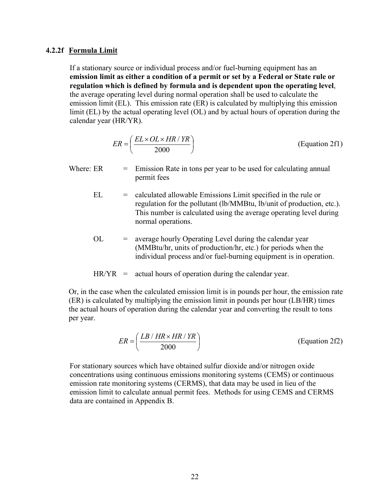#### <span id="page-24-0"></span>**4.2.2f Formula Limit**

If a stationary source or individual process and/or fuel-burning equipment has an **emission limit as either a condition of a permit or set by a Federal or State rule or regulation which is defined by formula and is dependent upon the operating level**, the average operating level during normal operation shall be used to calculate the emission limit (EL). This emission rate (ER) is calculated by multiplying this emission limit (EL) by the actual operating level (OL) and by actual hours of operation during the calendar year (HR/YR).

$$
ER = \left(\frac{EL \times OL \times HR / TR}{2000}\right) \tag{Equation 2f1}
$$

- Where:  $ER = Emission Rate in tons per year to be used for calculating annual$ permit fees
	- EL = calculated allowable Emissions Limit specified in the rule or regulation for the pollutant (lb/MMBtu, lb/unit of production, etc.). This number is calculated using the average operating level during normal operations.
	- $OL = average hourly Operating Level during the calendar year$ (MMBtu/hr, units of production/hr, etc.) for periods when the individual process and/or fuel-burning equipment is in operation.

$$
HR/YR = actual hours of operation during the calendar year.
$$

Or, in the case when the calculated emission limit is in pounds per hour, the emission rate (ER) is calculated by multiplying the emission limit in pounds per hour (LB/HR) times the actual hours of operation during the calendar year and converting the result to tons per year.

$$
ER = \left(\frac{LB \mid HR \times HR \mid YR}{2000}\right) \tag{Equation 2f2}
$$

For stationary sources which have obtained sulfur dioxide and/or nitrogen oxide concentrations using continuous emissions monitoring systems (CEMS) or continuous emission rate monitoring systems (CERMS), that data may be used in lieu of the emission limit to calculate annual permit fees. Methods for using CEMS and CERMS data are contained in Appendix B.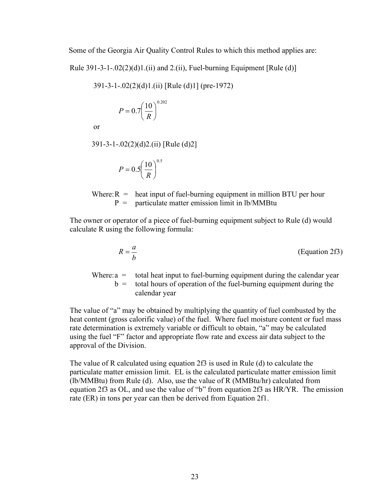Some of the Georgia Air Quality Control Rules to which this method applies are:

Rule  $391-3-1-.02(2)(d)1.(ii)$  and  $2.(ii)$ , Fuel-burning Equipment [Rule (d)]

391-3-1-.02(2)(d)1.(ii) [Rule (d)1] (pre-1972)

$$
P = 0.7 \left(\frac{10}{R}\right)^{0.202}
$$

or

391-3-1-.02(2)(d)2.(ii) [Rule (d)2]

$$
P = 0.5 \left(\frac{10}{R}\right)^{0.5}
$$

Where:  $R =$  heat input of fuel-burning equipment in million BTU per hour  $P =$  particulate matter emission limit in lb/MMBtu

The owner or operator of a piece of fuel-burning equipment subject to Rule (d) would calculate R using the following formula:

$$
R = \frac{a}{b}
$$
 (Equation 2f3)

Where:  $a =$  total heat input to fuel-burning equipment during the calendar year  $b =$  total hours of operation of the fuel-burning equipment during the calendar year

The value of "a" may be obtained by multiplying the quantity of fuel combusted by the heat content (gross calorific value) of the fuel. Where fuel moisture content or fuel mass rate determination is extremely variable or difficult to obtain, "a" may be calculated using the fuel "F" factor and appropriate flow rate and excess air data subject to the approval of the Division.

The value of R calculated using equation 2f3 is used in Rule (d) to calculate the particulate matter emission limit. EL is the calculated particulate matter emission limit (lb/MMBtu) from Rule (d). Also, use the value of R (MMBtu/hr) calculated from equation 2f3 as OL, and use the value of "b" from equation 2f3 as HR/YR. The emission rate (ER) in tons per year can then be derived from Equation 2f1.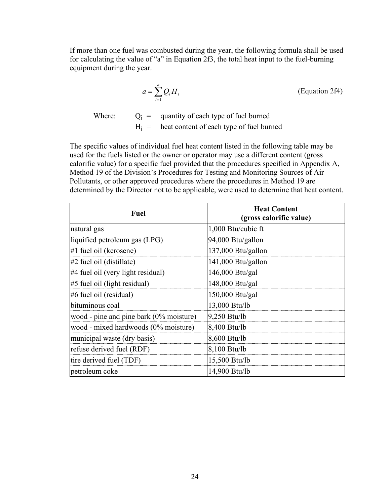If more than one fuel was combusted during the year, the following formula shall be used for calculating the value of "a" in Equation 2f3, the total heat input to the fuel-burning equipment during the year.

$$
a = \sum_{i=1}^{n} Q_i H_i
$$
 (Equation 2f4)

Where:  $Q_i =$  quantity of each type of fuel burned  $H<sub>i</sub>$  = heat content of each type of fuel burned

The specific values of individual fuel heat content listed in the following table may be used for the fuels listed or the owner or operator may use a different content (gross calorific value) for a specific fuel provided that the procedures specified in Appendix A, Method 19 of the Division's Procedures for Testing and Monitoring Sources of Air Pollutants, or other approved procedures where the procedures in Method 19 are determined by the Director not to be applicable, were used to determine that heat content.

| <b>Fuel</b>                                | <b>Heat Content</b><br>(gross calorific value) |
|--------------------------------------------|------------------------------------------------|
| natural gas                                | 1,000 Btu/cubic ft                             |
| liquified petroleum gas (LPG)              | 94,000 Btu/gallon                              |
| #1 fuel oil (kerosene)                     | 137,000 Btu/gallon                             |
| $#2$ fuel oil (distillate)                 | 141,000 Btu/gallon                             |
| $\#4$ fuel oil (very light residual)       | 146,000 Btu/gal                                |
| $\#$ 5 fuel oil (light residual)           | 148,000 Btu/gal                                |
| $#6$ fuel oil (residual)                   | 150,000 Btu/gal                                |
| bituminous coal                            | 13,000 Btu/lb                                  |
| wood - pine and pine bark $(0\%$ moisture) | 9,250 Btu/lb                                   |
| wood - mixed hardwoods (0% moisture)       | 8,400 Btu/lb                                   |
| municipal waste (dry basis)                | 8,600 Btu/lb                                   |
| refuse derived fuel (RDF)                  | 8,100 Btu/lb                                   |
| tire derived fuel (TDF)                    | 15,500 Btu/lb                                  |
| petroleum coke                             | 14,900 Btu/lb                                  |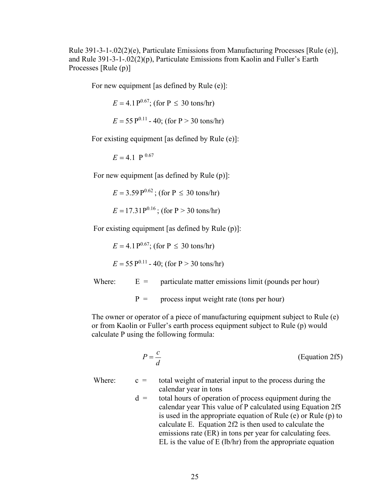Rule 391-3-1-.02(2)(e), Particulate Emissions from Manufacturing Processes [Rule (e)], and Rule 391-3-1-.02(2)(p), Particulate Emissions from Kaolin and Fuller's Earth Processes [Rule (p)]

For new equipment [as defined by Rule (e)]:

 $E = 4.1 P^{0.67}$ ; (for P  $\leq 30$  tons/hr)

$$
E = 55 \text{ P}^{0.11} - 40
$$
; (for P > 30 tons/hr)

For existing equipment [as defined by Rule (e)]:

 $E = 4.1$  P  $^{0.67}$ 

For new equipment [as defined by Rule (p)]:

 $E = 3.59 \,\mathrm{P}^{0.62}$ ; (for P  $\leq 30 \,\mathrm{tons/hr}$ )

 $E = 17.31P^{0.16}$ ; (for P > 30 tons/hr)

For existing equipment [as defined by Rule (p)]:

 $E = 4.1 P^{0.67}$ ; (for P  $\leq 30$  tons/hr)

 $E = 55 \,\mathrm{P}^{0.11}$  - 40; (for P > 30 tons/hr)

Where:  $E =$  particulate matter emissions limit (pounds per hour)

 $P =$  process input weight rate (tons per hour)

The owner or operator of a piece of manufacturing equipment subject to Rule (e) or from Kaolin or Fuller's earth process equipment subject to Rule (p) would calculate P using the following formula:

$$
P = \frac{c}{d}
$$
 (Equation 2f5)

Where:  $c =$  total weight of material input to the process during the calendar year in tons

 $d =$  total hours of operation of process equipment during the calendar year This value of P calculated using Equation 2f5 is used in the appropriate equation of Rule (e) or Rule (p) to calculate E. Equation 2f2 is then used to calculate the emissions rate (ER) in tons per year for calculating fees. EL is the value of E (lb/hr) from the appropriate equation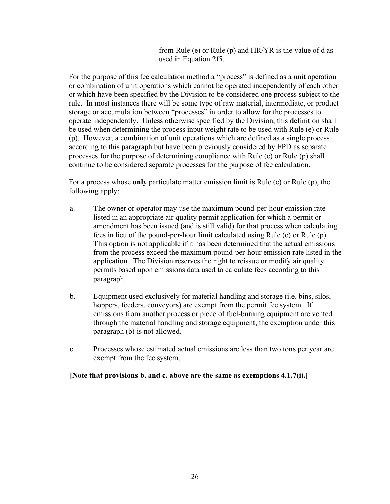from Rule (e) or Rule (p) and HR/YR is the value of d as used in Equation 2f5.

For the purpose of this fee calculation method a "process" is defined as a unit operation or combination of unit operations which cannot be operated independently of each other or which have been specified by the Division to be considered one process subject to the rule. In most instances there will be some type of raw material, intermediate, or product storage or accumulation between "processes" in order to allow for the processes to operate independently. Unless otherwise specified by the Division, this definition shall be used when determining the process input weight rate to be used with Rule (e) or Rule (p). However, a combination of unit operations which are defined as a single process according to this paragraph but have been previously considered by EPD as separate processes for the purpose of determining compliance with Rule (e) or Rule (p) shall continue to be considered separate processes for the purpose of fee calculation.

For a process whose **only** particulate matter emission limit is Rule (e) or Rule (p), the following apply:

- a. The owner or operator may use the maximum pound-per-hour emission rate listed in an appropriate air quality permit application for which a permit or amendment has been issued (and is still valid) for that process when calculating fees in lieu of the pound-per-hour limit calculated using Rule (e) or Rule (p). This option is not applicable if it has been determined that the actual emissions from the process exceed the maximum pound-per-hour emission rate listed in the application. The Division reserves the right to reissue or modify air quality permits based upon emissions data used to calculate fees according to this paragraph.
- b. Equipment used exclusively for material handling and storage (i.e. bins, silos, hoppers, feeders, conveyors) are exempt from the permit fee system. If emissions from another process or piece of fuel-burning equipment are vented through the material handling and storage equipment, the exemption under this paragraph (b) is not allowed.
- c. Processes whose estimated actual emissions are less than two tons per year are exempt from the fee system.

#### **[Note that provisions b. and c. above are the same as exemptions 4.1.7(i).]**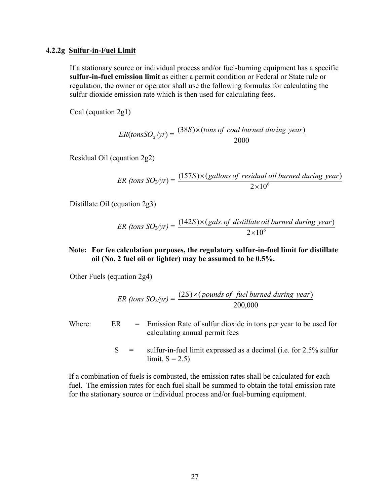#### <span id="page-29-0"></span>**4.2.2g Sulfur-in-Fuel Limit**

If a stationary source or individual process and/or fuel-burning equipment has a specific **sulfur-in-fuel emission limit** as either a permit condition or Federal or State rule or regulation, the owner or operator shall use the following formulas for calculating the sulfur dioxide emission rate which is then used for calculating fees.

Coal (equation 2g1)

$$
ER(tons SO_2/yr) = \frac{(38S) \times (tons of coal burned during year)}{2000}
$$

Residual Oil (equation 2g2)

$$
ER \text{ (tons SO2/yr)} = \frac{(157S) \times (gallons \text{ of residual oil burned during year})}{2 \times 10^6}
$$

Distillate Oil (equation 2g3)

$$
ER \text{ (tons } SO_2\text{/yr)} = \frac{(142S) \times (gals. \text{ of } distillate \text{ oil burned during year})}{2 \times 10^6}
$$

#### **Note: For fee calculation purposes, the regulatory sulfur-in-fuel limit for distillate oil (No. 2 fuel oil or lighter) may be assumed to be 0.5%.**

Other Fuels (equation 2g4)

$$
ER \text{ (tons } SO_2/\text{yr}) = \frac{(2S) \times (pounds \text{ of } fuel \text{ burned during } year)}{200,000}
$$

Where:  $ER = Emission Rate of sulfur dioxide in tons per year to be used for$ calculating annual permit fees

> $S =$  sulfur-in-fuel limit expressed as a decimal (i.e. for 2.5% sulfur limit,  $S = 2.5$ )

If a combination of fuels is combusted, the emission rates shall be calculated for each fuel. The emission rates for each fuel shall be summed to obtain the total emission rate for the stationary source or individual process and/or fuel-burning equipment.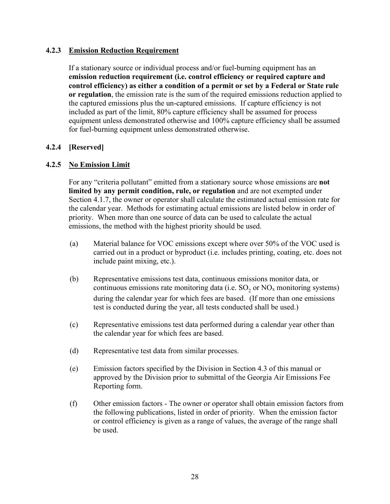#### <span id="page-30-0"></span>**4.2.3 Emission Reduction Requirement**

If a stationary source or individual process and/or fuel-burning equipment has an **emission reduction requirement (i.e. control efficiency or required capture and control efficiency) as either a condition of a permit or set by a Federal or State rule or regulation**, the emission rate is the sum of the required emissions reduction applied to the captured emissions plus the un-captured emissions. If capture efficiency is not included as part of the limit, 80% capture efficiency shall be assumed for process equipment unless demonstrated otherwise and 100% capture efficiency shall be assumed for fuel-burning equipment unless demonstrated otherwise.

# <span id="page-30-1"></span>**4.2.4 [Reserved]**

# <span id="page-30-2"></span>**4.2.5 No Emission Limit**

For any "criteria pollutant" emitted from a stationary source whose emissions are **not limited by any permit condition, rule, or regulation** and are not exempted under Section 4.1.7, the owner or operator shall calculate the estimated actual emission rate for the calendar year. Methods for estimating actual emissions are listed below in order of priority. When more than one source of data can be used to calculate the actual emissions, the method with the highest priority should be used.

- (a) Material balance for VOC emissions except where over 50% of the VOC used is carried out in a product or byproduct (i.e. includes printing, coating, etc. does not include paint mixing, etc.).
- (b) Representative emissions test data, continuous emissions monitor data, or continuous emissions rate monitoring data (i.e.  $SO_2$  or  $NO<sub>x</sub>$  monitoring systems) during the calendar year for which fees are based. (If more than one emissions test is conducted during the year, all tests conducted shall be used.)
- (c) Representative emissions test data performed during a calendar year other than the calendar year for which fees are based.
- (d) Representative test data from similar processes.
- (e) Emission factors specified by the Division in Section 4.3 of this manual or approved by the Division prior to submittal of the Georgia Air Emissions Fee Reporting form.
- (f) Other emission factors The owner or operator shall obtain emission factors from the following publications, listed in order of priority. When the emission factor or control efficiency is given as a range of values, the average of the range shall be used.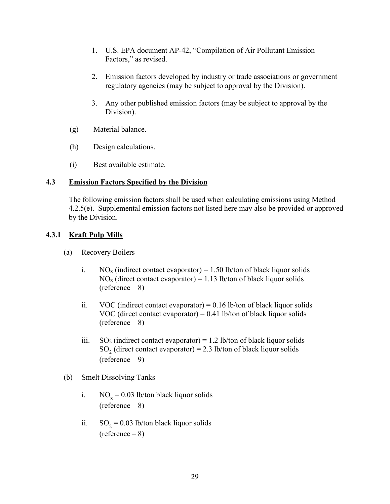- 1. U.S. EPA document AP-42, "Compilation of Air Pollutant Emission Factors," as revised.
- 2. Emission factors developed by industry or trade associations or government regulatory agencies (may be subject to approval by the Division).
- 3. Any other published emission factors (may be subject to approval by the Division).
- (g) Material balance.
- (h) Design calculations.
- (i) Best available estimate.

# <span id="page-31-0"></span>**4.3 Emission Factors Specified by the Division**

The following emission factors shall be used when calculating emissions using Method 4.2.5(e). Supplemental emission factors not listed here may also be provided or approved by the Division.

# <span id="page-31-1"></span>**4.3.1 Kraft Pulp Mills**

- (a) Recovery Boilers
	- i. NO<sub>x</sub> (indirect contact evaporator) = 1.50 lb/ton of black liquor solids  $NO<sub>x</sub>$  (direct contact evaporator) = 1.13 lb/ton of black liquor solids  $(reference - 8)$
	- ii. VOC (indirect contact evaporator) =  $0.16$  lb/ton of black liquor solids VOC (direct contact evaporator) =  $0.41$  lb/ton of black liquor solids  $(reference - 8)$
	- iii.  $SO_2$  (indirect contact evaporator) = 1.2 lb/ton of black liquor solids SO<sub>2</sub> (direct contact evaporator) = 2.3 lb/ton of black liquor solids  $(reference - 9)$
- (b) Smelt Dissolving Tanks
	- i.  $NO_x = 0.03$  lb/ton black liquor solids  $(reference - 8)$
	- ii.  $SO_2 = 0.03$  lb/ton black liquor solids (reference – 8)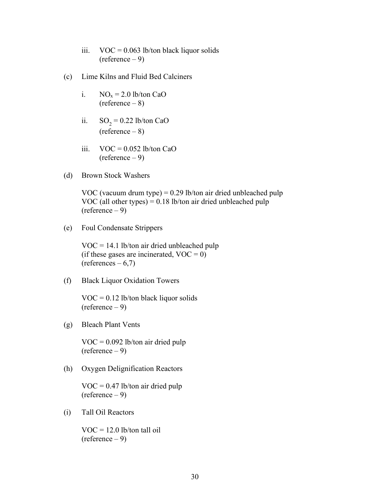- iii.  $VOC = 0.063$  lb/ton black liquor solids  $(reference - 9)$
- (c) Lime Kilns and Fluid Bed Calciners
	- i.  $NO<sub>x</sub> = 2.0$  lb/ton CaO  $(reference - 8)$
	- ii.  $SO_2 = 0.22$  lb/ton CaO  $(reference - 8)$
	- iii.  $VOC = 0.052$  lb/ton CaO  $(reference - 9)$
- (d) Brown Stock Washers

VOC (vacuum drum type) =  $0.29$  lb/ton air dried unbleached pulp VOC (all other types)  $= 0.18$  lb/ton air dried unbleached pulp (reference – 9)

(e) Foul Condensate Strippers

VOC = 14.1 lb/ton air dried unbleached pulp (if these gases are incinerated,  $VOC = 0$ )  $(references - 6,7)$ 

(f) Black Liquor Oxidation Towers

 $VOC = 0.12$  lb/ton black liquor solids (reference – 9)

(g) Bleach Plant Vents

 $VOC = 0.092$  lb/ton air dried pulp  $(reference - 9)$ 

(h) Oxygen Delignification Reactors

 $VOC = 0.47$  lb/ton air dried pulp (reference – 9)

(i) Tall Oil Reactors

 $VOC = 12.0$  lb/ton tall oil (reference – 9)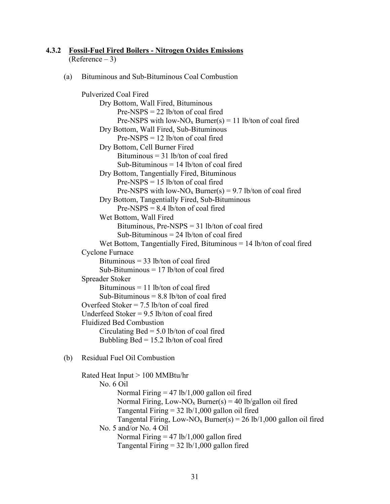#### <span id="page-33-0"></span>**4.3.2 Fossil-Fuel Fired Boilers - Nitrogen Oxides Emissions**  $(Reference - 3)$

(a) Bituminous and Sub-Bituminous Coal Combustion

```
Pulverized Coal Fired
     Dry Bottom, Wall Fired, Bituminous
           Pre-NSPS = 22 lb/ton of coal fired
           Pre-NSPS with low-NO<sub>x</sub> Burner(s) = 11 lb/ton of coal fired
     Dry Bottom, Wall Fired, Sub-Bituminous
           Pre-NSPS = 12 lb/ton of coal fired
     Dry Bottom, Cell Burner Fired
           Bituminous = 31 lb/ton of coal fired
           Sub-Bituminous = 14 lb/ton of coal fired
     Dry Bottom, Tangentially Fired, Bituminous
           Pre-NSPS = 15 lb/ton of coal fired
           Pre-NSPS with low-NO<sub>x</sub> Burner(s) = 9.7 lb/ton of coal fired
     Dry Bottom, Tangentially Fired, Sub-Bituminous
           Pre-NSPS = 8.4 lb/ton of coal fired
     Wet Bottom, Wall Fired
           Bituminous, Pre-NSPS = 31 lb/ton of coal fired
           Sub-Bituminous = 24 lb/ton of coal fired
      Wet Bottom, Tangentially Fired, Bituminous = 14 lb/ton of coal fired
Cyclone Furnace
     Bituminous = 33 lb/ton of coal fired
      Sub-Bituminous = 17 lb/ton of coal fired
Spreader Stoker
     Bituminous = 11 lb/ton of coal fired
     Sub-Bituminous = 8.8 lb/ton of coal fired
Overfeed Stoker = 7.5 lb/ton of coal fired
Underfeed Stoker = 9.5 lb/ton of coal fired
Fluidized Bed Combustion
     Circulating \text{Bed} = 5.0 lb/ton of coal fired
     Bubbling Bed = 15.2 lb/ton of coal fired
```

```
(b) Residual Fuel Oil Combustion
```

```
Rated Heat Input > 100 MMBtu/hr
      No. 6 Oil
            Normal Firing = 47 lb/1,000 gallon oil fired
            Normal Firing, Low-NO<sub>x</sub> Burner(s) = 40 lb/gallon oil fired
            Tangental Firing = 32 lb/1,000 gallon oil fired
            Tangental Firing, Low-NO<sub>x</sub> Burner(s) = 26 lb/1,000 gallon oil fired
     No. 5 and/or No. 4 Oil
            Normal Firing = 47 lb/1,000 gallon fired
            Tangental Firing = 32 lb/1,000 gallon fired
```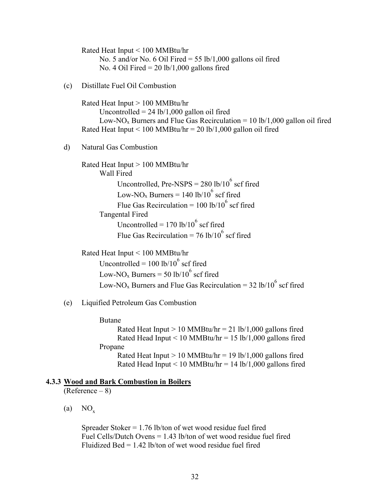Rated Heat Input < 100 MMBtu/hr No. 5 and/or No. 6 Oil Fired =  $55$  lb/1,000 gallons oil fired No. 4 Oil Fired  $= 20$  lb/1,000 gallons fired (c) Distillate Fuel Oil Combustion Rated Heat Input > 100 MMBtu/hr Uncontrolled  $= 24$  lb/1,000 gallon oil fired Low-NO<sub>x</sub> Burners and Flue Gas Recirculation = 10 lb/1,000 gallon oil fired Rated Heat Input  $\leq 100$  MMBtu/hr = 20 lb/1,000 gallon oil fired d) Natural Gas Combustion Rated Heat Input > 100 MMBtu/hr Wall Fired Uncontrolled, Pre-NSPS =  $280$  lb/ $10^6$  scf fired Low-NO<sub>x</sub> Burners =  $140$  lb/ $10^6$  scf fired Flue Gas Recirculation =  $100$  lb/ $10^6$  scf fired Tangental Fired Uncontrolled =  $170$  lb/ $10^6$  scf fired

Flue Gas Recirculation =  $76$  lb/ $10^6$  scf fired

Rated Heat Input < 100 MMBtu/hr

Uncontrolled =  $100$  lb/ $10^6$  scf fired Low-NO<sub>x</sub> Burners = 50 lb/10<sup>6</sup> scf fired Low-NO<sub>x</sub> Burners and Flue Gas Recirculation = 32 lb/10<sup>6</sup> scf fired

#### (e) Liquified Petroleum Gas Combustion

Butane

Rated Heat Input  $> 10$  MMBtu/hr = 21 lb/1,000 gallons fired Rated Head Input  $\leq 10$  MMBtu/hr = 15 lb/1,000 gallons fired Propane Rated Heat Input  $> 10$  MMBtu/hr = 19 lb/1,000 gallons fired Rated Head Input < 10 MMBtu/hr =  $14$  lb/1,000 gallons fired

# <span id="page-34-0"></span>**4.3.3 Wood and Bark Combustion in Boilers**

(Reference – 8)

 $(a) NO_x$ 

Spreader Stoker = 1.76 lb/ton of wet wood residue fuel fired Fuel Cells/Dutch Ovens = 1.43 lb/ton of wet wood residue fuel fired Fluidized Bed  $= 1.42$  lb/ton of wet wood residue fuel fired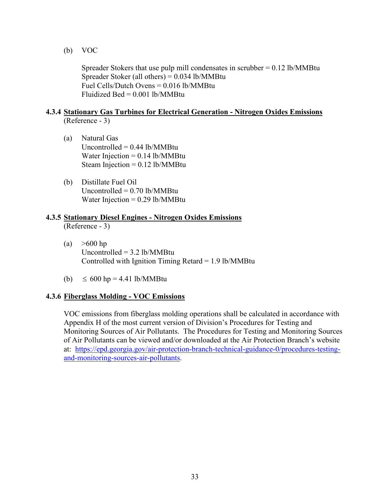(b) VOC

Spreader Stokers that use pulp mill condensates in scrubber  $= 0.12$  lb/MMBtu Spreader Stoker (all others) = 0.034 lb/MMBtu Fuel Cells/Dutch Ovens = 0.016 lb/MMBtu Fluidized Bed =  $0.001$  lb/MMBtu

#### <span id="page-35-0"></span>**4.3.4 Stationary Gas Turbines for Electrical Generation - Nitrogen Oxides Emissions** (Reference - 3)

- (a) Natural Gas Uncontrolled  $= 0.44$  lb/MMBtu Water Injection  $= 0.14$  lb/MMBtu Steam Injection  $= 0.12$  lb/MMBtu
- (b) Distillate Fuel Oil Uncontrolled  $= 0.70$  lb/MMBtu Water Injection  $= 0.29$  lb/MMBtu

# <span id="page-35-1"></span>**4.3.5 Stationary Diesel Engines - Nitrogen Oxides Emissions**

(Reference - 3)

- (a)  $>600$  hp Uncontrolled = 3.2 lb/MMBtu Controlled with Ignition Timing Retard  $= 1.9$  lb/MMBtu
- (b)  $\leq 600$  hp = 4.41 lb/MMBtu

#### <span id="page-35-2"></span>**4.3.6 Fiberglass Molding - VOC Emissions**

VOC emissions from fiberglass molding operations shall be calculated in accordance with Appendix H of the most current version of Division's Procedures for Testing and Monitoring Sources of Air Pollutants. The Procedures for Testing and Monitoring Sources of Air Pollutants can be viewed and/or downloaded at the Air Protection Branch's website at: [https://epd.georgia.gov/air-protection-branch-technical-guidance-0/procedures-testing](https://epd.georgia.gov/air-protection-branch-technical-guidance-0/procedures-testing-and-monitoring-sources-air-pollutants)[and-monitoring-sources-air-pollutants.](https://epd.georgia.gov/air-protection-branch-technical-guidance-0/procedures-testing-and-monitoring-sources-air-pollutants)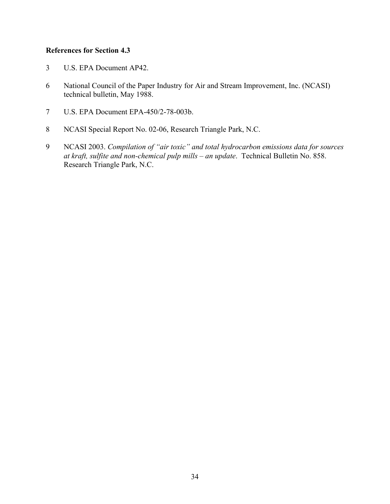# **References for Section 4.3**

- 3 U.S. EPA Document AP42.
- 6 National Council of the Paper Industry for Air and Stream Improvement, Inc. (NCASI) technical bulletin, May 1988.
- 7 U.S. EPA Document EPA-450/2-78-003b.
- 8 NCASI Special Report No. 02-06, Research Triangle Park, N.C.
- 9 NCASI 2003. *Compilation of "air toxic" and total hydrocarbon emissions data for sources at kraft, sulfite and non-chemical pulp mills – an update*. Technical Bulletin No. 858. Research Triangle Park, N.C.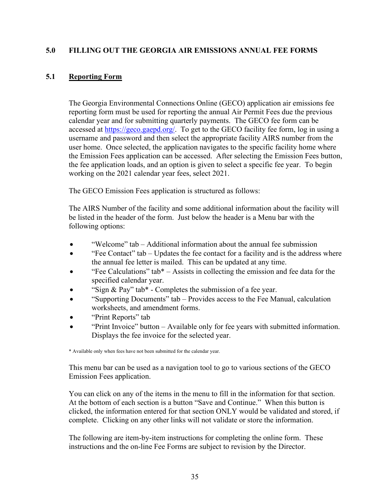# <span id="page-37-0"></span>**5.0 FILLING OUT THE GEORGIA AIR EMISSIONS ANNUAL FEE FORMS**

# <span id="page-37-1"></span>**5.1 Reporting Form**

The Georgia Environmental Connections Online (GECO) application air emissions fee reporting form must be used for reporting the annual Air Permit Fees due the previous calendar year and for submitting quarterly payments. The GECO fee form can be accessed at [https://geco.gaepd.org/.](https://geco.gaepd.org/) To get to the GECO facility fee form, log in using a username and password and then select the appropriate facility AIRS number from the user home. Once selected, the application navigates to the specific facility home where the Emission Fees application can be accessed. After selecting the Emission Fees button, the fee application loads, and an option is given to select a specific fee year. To begin working on the 2021 calendar year fees, select 2021.

The GECO Emission Fees application is structured as follows:

The AIRS Number of the facility and some additional information about the facility will be listed in the header of the form. Just below the header is a Menu bar with the following options:

- "Welcome" tab Additional information about the annual fee submission
- "Fee Contact" tab Updates the fee contact for a facility and is the address where the annual fee letter is mailed. This can be updated at any time.
- "Fee Calculations" tab\*  $-$  Assists in collecting the emission and fee data for the specified calendar year.
- "Sign & Pay" tab\* Completes the submission of a fee year.
- "Supporting Documents" tab Provides access to the Fee Manual, calculation worksheets, and amendment forms.
- "Print Reports" tab
- "Print Invoice" button Available only for fee years with submitted information. Displays the fee invoice for the selected year.

\* Available only when fees have not been submitted for the calendar year.

This menu bar can be used as a navigation tool to go to various sections of the GECO Emission Fees application.

You can click on any of the items in the menu to fill in the information for that section. At the bottom of each section is a button "Save and Continue." When this button is clicked, the information entered for that section ONLY would be validated and stored, if complete. Clicking on any other links will not validate or store the information.

The following are item-by-item instructions for completing the online form. These instructions and the on-line Fee Forms are subject to revision by the Director.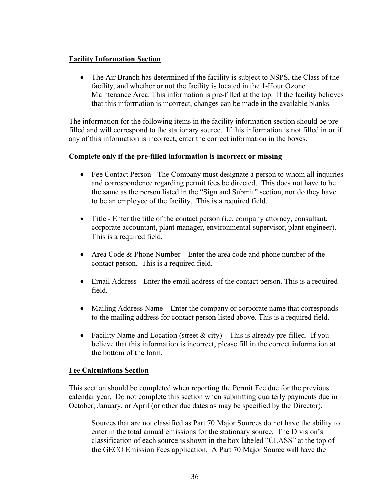# **Facility Information Section**

• The Air Branch has determined if the facility is subject to NSPS, the Class of the facility, and whether or not the facility is located in the 1-Hour Ozone Maintenance Area. This information is pre-filled at the top. If the facility believes that this information is incorrect, changes can be made in the available blanks.

The information for the following items in the facility information section should be prefilled and will correspond to the stationary source. If this information is not filled in or if any of this information is incorrect, enter the correct information in the boxes.

# **Complete only if the pre-filled information is incorrect or missing**

- Fee Contact Person The Company must designate a person to whom all inquiries and correspondence regarding permit fees be directed. This does not have to be the same as the person listed in the "Sign and Submit" section, nor do they have to be an employee of the facility. This is a required field.
- Title Enter the title of the contact person (i.e. company attorney, consultant, corporate accountant, plant manager, environmental supervisor, plant engineer). This is a required field.
- Area Code & Phone Number Enter the area code and phone number of the contact person. This is a required field.
- Email Address Enter the email address of the contact person. This is a required field.
- Mailing Address Name Enter the company or corporate name that corresponds to the mailing address for contact person listed above. This is a required field.
- Facility Name and Location (street  $\&$  city) This is already pre-filled. If you believe that this information is incorrect, please fill in the correct information at the bottom of the form.

# **Fee Calculations Section**

This section should be completed when reporting the Permit Fee due for the previous calendar year. Do not complete this section when submitting quarterly payments due in October, January, or April (or other due dates as may be specified by the Director).

Sources that are not classified as Part 70 Major Sources do not have the ability to enter in the total annual emissions for the stationary source. The Division's classification of each source is shown in the box labeled "CLASS" at the top of the GECO Emission Fees application. A Part 70 Major Source will have the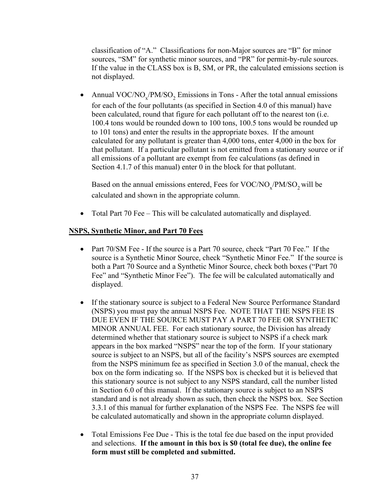classification of "A." Classifications for non-Major sources are "B" for minor sources, "SM" for synthetic minor sources, and "PR" for permit-by-rule sources. If the value in the CLASS box is B, SM, or PR, the calculated emissions section is not displayed.

• Annual VOC/NO<sub>x</sub>/PM/SO<sub>2</sub> Emissions in Tons - After the total annual emissions for each of the four pollutants (as specified in Section 4.0 of this manual) have been calculated, round that figure for each pollutant off to the nearest ton (i.e. 100.4 tons would be rounded down to 100 tons, 100.5 tons would be rounded up to 101 tons) and enter the results in the appropriate boxes. If the amount calculated for any pollutant is greater than 4,000 tons, enter 4,000 in the box for that pollutant. If a particular pollutant is not emitted from a stationary source or if all emissions of a pollutant are exempt from fee calculations (as defined in Section 4.1.7 of this manual) enter 0 in the block for that pollutant.

Based on the annual emissions entered, Fees for  $VOC/NO<sub>x</sub>/PM/SO<sub>2</sub>$  will be calculated and shown in the appropriate column.

• Total Part 70 Fee – This will be calculated automatically and displayed.

# **NSPS, Synthetic Minor, and Part 70 Fees**

- Part 70/SM Fee If the source is a Part 70 source, check "Part 70 Fee." If the source is a Synthetic Minor Source, check "Synthetic Minor Fee." If the source is both a Part 70 Source and a Synthetic Minor Source, check both boxes ("Part 70 Fee" and "Synthetic Minor Fee"). The fee will be calculated automatically and displayed.
- If the stationary source is subject to a Federal New Source Performance Standard (NSPS) you must pay the annual NSPS Fee. NOTE THAT THE NSPS FEE IS DUE EVEN IF THE SOURCE MUST PAY A PART 70 FEE OR SYNTHETIC MINOR ANNUAL FEE. For each stationary source, the Division has already determined whether that stationary source is subject to NSPS if a check mark appears in the box marked "NSPS" near the top of the form. If your stationary source is subject to an NSPS, but all of the facility's NSPS sources are exempted from the NSPS minimum fee as specified in Section 3.0 of the manual, check the box on the form indicating so. If the NSPS box is checked but it is believed that this stationary source is not subject to any NSPS standard, call the number listed in Section 6.0 of this manual. If the stationary source is subject to an NSPS standard and is not already shown as such, then check the NSPS box. See Section 3.3.1 of this manual for further explanation of the NSPS Fee. The NSPS fee will be calculated automatically and shown in the appropriate column displayed.
- Total Emissions Fee Due This is the total fee due based on the input provided and selections. **If the amount in this box is \$0 (total fee due), the online fee form must still be completed and submitted.**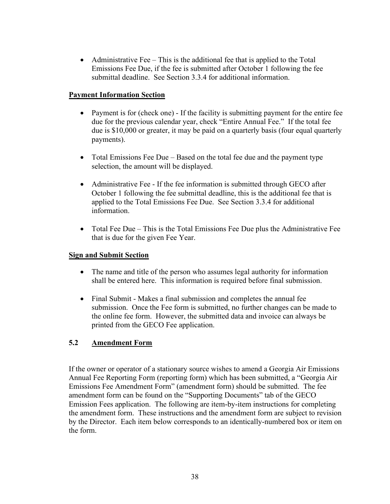• Administrative Fee – This is the additional fee that is applied to the Total Emissions Fee Due, if the fee is submitted after October 1 following the fee submittal deadline. See Section 3.3.4 for additional information.

# **Payment Information Section**

- Payment is for (check one) If the facility is submitting payment for the entire fee due for the previous calendar year, check "Entire Annual Fee." If the total fee due is \$10,000 or greater, it may be paid on a quarterly basis (four equal quarterly payments).
- Total Emissions Fee Due Based on the total fee due and the payment type selection, the amount will be displayed.
- Administrative Fee If the fee information is submitted through GECO after October 1 following the fee submittal deadline, this is the additional fee that is applied to the Total Emissions Fee Due. See Section 3.3.4 for additional information.
- Total Fee Due This is the Total Emissions Fee Due plus the Administrative Fee that is due for the given Fee Year.

# **Sign and Submit Section**

- The name and title of the person who assumes legal authority for information shall be entered here. This information is required before final submission.
- Final Submit Makes a final submission and completes the annual fee submission. Once the Fee form is submitted, no further changes can be made to the online fee form. However, the submitted data and invoice can always be printed from the GECO Fee application.

# **5.2 Amendment Form**

If the owner or operator of a stationary source wishes to amend a Georgia Air Emissions Annual Fee Reporting Form (reporting form) which has been submitted, a "Georgia Air Emissions Fee Amendment Form" (amendment form) should be submitted. The fee amendment form can be found on the "Supporting Documents" tab of the GECO Emission Fees application. The following are item-by-item instructions for completing the amendment form. These instructions and the amendment form are subject to revision by the Director. Each item below corresponds to an identically-numbered box or item on the form.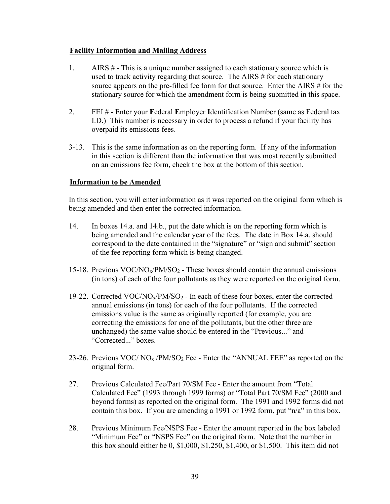# **Facility Information and Mailing Address**

- 1. AIRS  $#$  This is a unique number assigned to each stationary source which is used to track activity regarding that source. The AIRS # for each stationary source appears on the pre-filled fee form for that source. Enter the AIRS # for the stationary source for which the amendment form is being submitted in this space.
- 2. FEI # Enter your **F**ederal **E**mployer **I**dentification Number (same as Federal tax I.D.) This number is necessary in order to process a refund if your facility has overpaid its emissions fees.
- 3-13. This is the same information as on the reporting form. If any of the information in this section is different than the information that was most recently submitted on an emissions fee form, check the box at the bottom of this section.

# **Information to be Amended**

In this section, you will enter information as it was reported on the original form which is being amended and then enter the corrected information.

- 14. In boxes 14.a. and 14.b., put the date which is on the reporting form which is being amended and the calendar year of the fees. The date in Box 14.a. should correspond to the date contained in the "signature" or "sign and submit" section of the fee reporting form which is being changed.
- 15-18. Previous  $VOC/NO<sub>x</sub>/PM/SO<sub>2</sub>$  These boxes should contain the annual emissions (in tons) of each of the four pollutants as they were reported on the original form.
- 19-22. Corrected VOC/NO<sub>x</sub>/PM/SO<sub>2</sub> In each of these four boxes, enter the corrected annual emissions (in tons) for each of the four pollutants. If the corrected emissions value is the same as originally reported (for example, you are correcting the emissions for one of the pollutants, but the other three are unchanged) the same value should be entered in the "Previous..." and "Corrected..." boxes.
- 23-26. Previous VOC/  $NO<sub>x</sub>$  /PM/SO<sub>2</sub> Fee Enter the "ANNUAL FEE" as reported on the original form.
- 27. Previous Calculated Fee/Part 70/SM Fee Enter the amount from "Total Calculated Fee" (1993 through 1999 forms) or "Total Part 70/SM Fee" (2000 and beyond forms) as reported on the original form. The 1991 and 1992 forms did not contain this box. If you are amending a 1991 or 1992 form, put "n/a" in this box.
- 28. Previous Minimum Fee/NSPS Fee Enter the amount reported in the box labeled "Minimum Fee" or "NSPS Fee" on the original form. Note that the number in this box should either be 0, \$1,000, \$1,250, \$1,400, or \$1,500. This item did not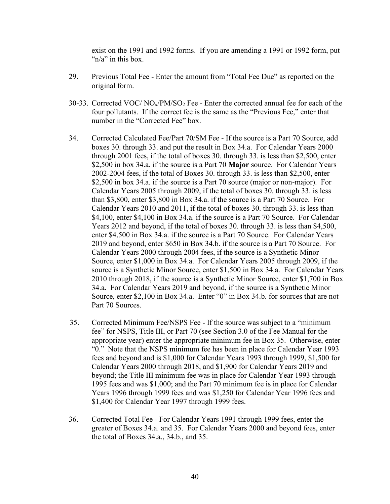exist on the 1991 and 1992 forms. If you are amending a 1991 or 1992 form, put " $n/a$ " in this box.

- 29. Previous Total Fee Enter the amount from "Total Fee Due" as reported on the original form.
- 30-33. Corrected VOC/ NOx/PM/SO2 Fee Enter the corrected annual fee for each of the four pollutants. If the correct fee is the same as the "Previous Fee," enter that number in the "Corrected Fee" box.
- 34. Corrected Calculated Fee/Part 70/SM Fee If the source is a Part 70 Source, add boxes 30. through 33. and put the result in Box 34.a. For Calendar Years 2000 through 2001 fees, if the total of boxes 30. through 33. is less than \$2,500, enter \$2,500 in box 34.a. if the source is a Part 70 **Major** source. For Calendar Years 2002-2004 fees, if the total of Boxes 30. through 33. is less than \$2,500, enter \$2,500 in box 34.a. if the source is a Part 70 source (major or non-major). For Calendar Years 2005 through 2009, if the total of boxes 30. through 33. is less than \$3,800, enter \$3,800 in Box 34.a. if the source is a Part 70 Source. For Calendar Years 2010 and 2011, if the total of boxes 30. through 33. is less than \$4,100, enter \$4,100 in Box 34.a. if the source is a Part 70 Source. For Calendar Years 2012 and beyond, if the total of boxes 30. through 33. is less than \$4,500, enter \$4,500 in Box 34.a. if the source is a Part 70 Source. For Calendar Years 2019 and beyond, enter \$650 in Box 34.b. if the source is a Part 70 Source. For Calendar Years 2000 through 2004 fees, if the source is a Synthetic Minor Source, enter \$1,000 in Box 34.a. For Calendar Years 2005 through 2009, if the source is a Synthetic Minor Source, enter \$1,500 in Box 34.a. For Calendar Years 2010 through 2018, if the source is a Synthetic Minor Source, enter \$1,700 in Box 34.a. For Calendar Years 2019 and beyond, if the source is a Synthetic Minor Source, enter \$2,100 in Box 34.a. Enter "0" in Box 34.b. for sources that are not Part 70 Sources.
- 35. Corrected Minimum Fee/NSPS Fee If the source was subject to a "minimum fee" for NSPS, Title III, or Part 70 (see Section 3.0 of the Fee Manual for the appropriate year) enter the appropriate minimum fee in Box 35. Otherwise, enter "0." Note that the NSPS minimum fee has been in place for Calendar Year 1993 fees and beyond and is \$1,000 for Calendar Years 1993 through 1999, \$1,500 for Calendar Years 2000 through 2018, and \$1,900 for Calendar Years 2019 and beyond; the Title III minimum fee was in place for Calendar Year 1993 through 1995 fees and was \$1,000; and the Part 70 minimum fee is in place for Calendar Years 1996 through 1999 fees and was \$1,250 for Calendar Year 1996 fees and \$1,400 for Calendar Year 1997 through 1999 fees.
- 36. Corrected Total Fee For Calendar Years 1991 through 1999 fees, enter the greater of Boxes 34.a. and 35. For Calendar Years 2000 and beyond fees, enter the total of Boxes 34.a., 34.b., and 35.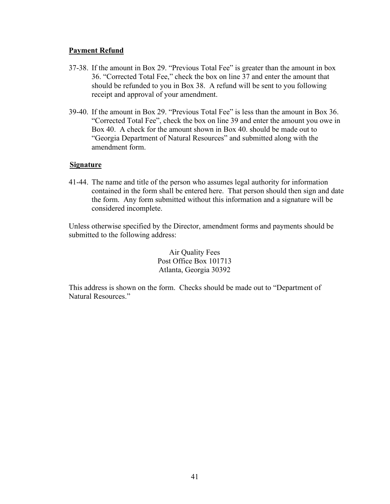#### **Payment Refund**

- 37-38. If the amount in Box 29. "Previous Total Fee" is greater than the amount in box 36. "Corrected Total Fee," check the box on line 37 and enter the amount that should be refunded to you in Box 38. A refund will be sent to you following receipt and approval of your amendment.
- 39-40. If the amount in Box 29. "Previous Total Fee" is less than the amount in Box 36. "Corrected Total Fee", check the box on line 39 and enter the amount you owe in Box 40. A check for the amount shown in Box 40. should be made out to "Georgia Department of Natural Resources" and submitted along with the amendment form.

#### **Signature**

41-44. The name and title of the person who assumes legal authority for information contained in the form shall be entered here. That person should then sign and date the form. Any form submitted without this information and a signature will be considered incomplete.

Unless otherwise specified by the Director, amendment forms and payments should be submitted to the following address:

> Air Quality Fees Post Office Box 101713 Atlanta, Georgia 30392

This address is shown on the form. Checks should be made out to "Department of Natural Resources."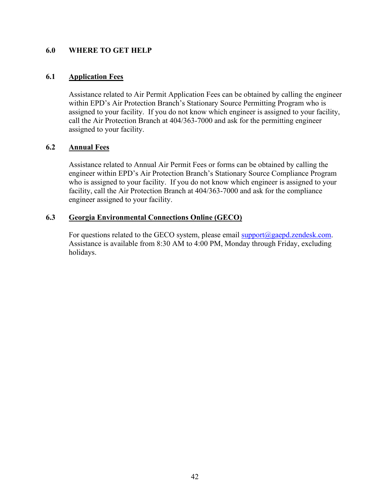#### <span id="page-44-0"></span>**6.0 WHERE TO GET HELP**

# <span id="page-44-1"></span>**6.1 Application Fees**

Assistance related to Air Permit Application Fees can be obtained by calling the engineer within EPD's Air Protection Branch's Stationary Source Permitting Program who is assigned to your facility. If you do not know which engineer is assigned to your facility, call the Air Protection Branch at 404/363-7000 and ask for the permitting engineer assigned to your facility.

# <span id="page-44-2"></span>**6.2 Annual Fees**

Assistance related to Annual Air Permit Fees or forms can be obtained by calling the engineer within EPD's Air Protection Branch's Stationary Source Compliance Program who is assigned to your facility. If you do not know which engineer is assigned to your facility, call the Air Protection Branch at 404/363-7000 and ask for the compliance engineer assigned to your facility.

# <span id="page-44-3"></span>**6.3 Georgia Environmental Connections Online (GECO)**

For questions related to the GECO system, please email  $\frac{\text{support}(a) \cdot \text{gender}}{\text{support}(a) \cdot \text{gender}}$ . Assistance is available from 8:30 AM to 4:00 PM, Monday through Friday, excluding holidays.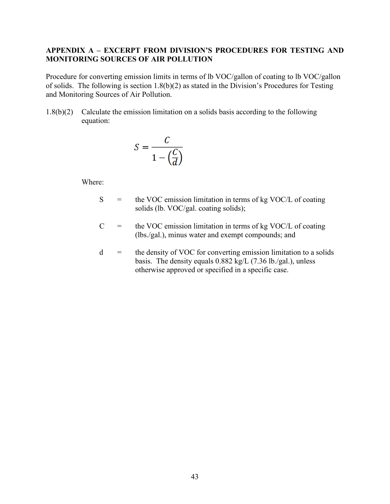#### <span id="page-45-0"></span>**APPENDIX A – EXCERPT FROM DIVISION'S PROCEDURES FOR TESTING AND MONITORING SOURCES OF AIR POLLUTION**

Procedure for converting emission limits in terms of lb VOC/gallon of coating to lb VOC/gallon of solids. The following is section 1.8(b)(2) as stated in the Division's Procedures for Testing and Monitoring Sources of Air Pollution.

1.8(b)(2) Calculate the emission limitation on a solids basis according to the following equation:

$$
S = \frac{C}{1 - \left(\frac{C}{d}\right)}
$$

Where:

- $S =$  the VOC emission limitation in terms of kg VOC/L of coating solids (lb. VOC/gal. coating solids);
- $C =$  the VOC emission limitation in terms of kg VOC/L of coating (lbs./gal.), minus water and exempt compounds; and
- d = the density of VOC for converting emission limitation to a solids basis. The density equals 0.882 kg/L (7.36 lb./gal.), unless otherwise approved or specified in a specific case.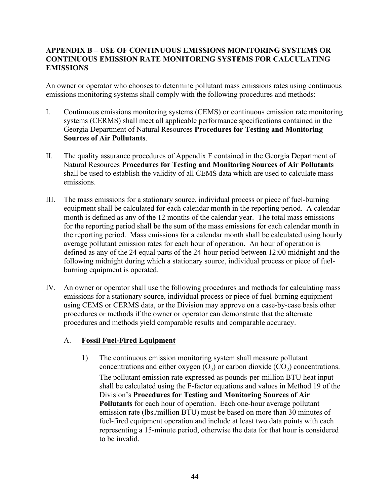# <span id="page-46-0"></span>**APPENDIX B – USE OF CONTINUOUS EMISSIONS MONITORING SYSTEMS OR CONTINUOUS EMISSION RATE MONITORING SYSTEMS FOR CALCULATING EMISSIONS**

An owner or operator who chooses to determine pollutant mass emissions rates using continuous emissions monitoring systems shall comply with the following procedures and methods:

- I. Continuous emissions monitoring systems (CEMS) or continuous emission rate monitoring systems (CERMS) shall meet all applicable performance specifications contained in the Georgia Department of Natural Resources **Procedures for Testing and Monitoring Sources of Air Pollutants**.
- II. The quality assurance procedures of Appendix F contained in the Georgia Department of Natural Resources **Procedures for Testing and Monitoring Sources of Air Pollutants** shall be used to establish the validity of all CEMS data which are used to calculate mass emissions.
- III. The mass emissions for a stationary source, individual process or piece of fuel-burning equipment shall be calculated for each calendar month in the reporting period. A calendar month is defined as any of the 12 months of the calendar year. The total mass emissions for the reporting period shall be the sum of the mass emissions for each calendar month in the reporting period. Mass emissions for a calendar month shall be calculated using hourly average pollutant emission rates for each hour of operation. An hour of operation is defined as any of the 24 equal parts of the 24-hour period between 12:00 midnight and the following midnight during which a stationary source, individual process or piece of fuelburning equipment is operated.
- IV. An owner or operator shall use the following procedures and methods for calculating mass emissions for a stationary source, individual process or piece of fuel-burning equipment using CEMS or CERMS data, or the Division may approve on a case-by-case basis other procedures or methods if the owner or operator can demonstrate that the alternate procedures and methods yield comparable results and comparable accuracy.

# A. **Fossil Fuel-Fired Equipment**

1) The continuous emission monitoring system shall measure pollutant concentrations and either oxygen  $(O_2)$  or carbon dioxide  $(CO_2)$  concentrations. The pollutant emission rate expressed as pounds-per-million BTU heat input shall be calculated using the F-factor equations and values in Method 19 of the Division's **Procedures for Testing and Monitoring Sources of Air Pollutants** for each hour of operation. Each one-hour average pollutant emission rate (lbs./million BTU) must be based on more than 30 minutes of fuel-fired equipment operation and include at least two data points with each representing a 15-minute period, otherwise the data for that hour is considered to be invalid.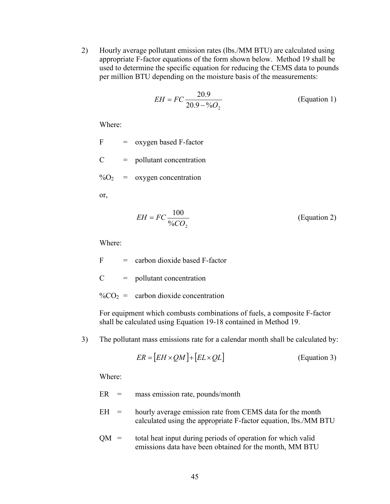2) Hourly average pollutant emission rates (lbs./MM BTU) are calculated using appropriate F-factor equations of the form shown below. Method 19 shall be used to determine the specific equation for reducing the CEMS data to pounds per million BTU depending on the moisture basis of the measurements:

$$
EH = FC \frac{20.9}{20.9 - \%O_2}
$$
 (Equation 1)

Where:

 $F = \alpha x y$ gen based F-factor

 $C =$  pollutant concentration

 $\%$ O<sub>2</sub> = oxygen concentration

or,

$$
EH = FC \frac{100}{\%CO_2} \tag{Equation 2}
$$

Where:

 $F =$  carbon dioxide based F-factor

 $C =$  pollutant concentration

 $\%CO_2$  = carbon dioxide concentration

For equipment which combusts combinations of fuels, a composite F-factor shall be calculated using Equation 19-18 contained in Method 19.

3) The pollutant mass emissions rate for a calendar month shall be calculated by:

$$
ER = [EH \times QM] + [EL \times QL]
$$
 (Equation 3)

Where:

ER = mass emission rate, pounds/month

- $EH =$  hourly average emission rate from CEMS data for the month calculated using the appropriate F-factor equation, lbs./MM BTU
- $QM =$  total heat input during periods of operation for which valid emissions data have been obtained for the month, MM BTU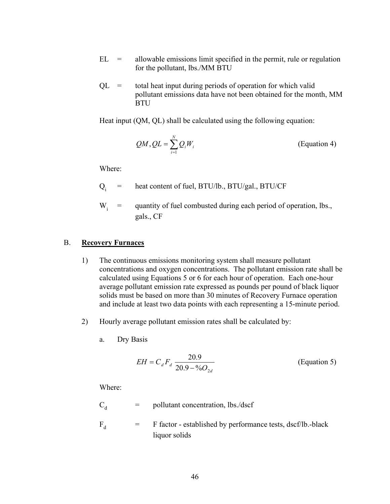- $EL =$  allowable emissions limit specified in the permit, rule or regulation for the pollutant, lbs./MM BTU
- $QL =$  total heat input during periods of operation for which valid pollutant emissions data have not been obtained for the month, MM **BTU**

Heat input (QM, QL) shall be calculated using the following equation:

$$
QM, QL = \sum_{i=1}^{N} Q_i W_i
$$
 (Equation 4)

Where:

- $Q_i$  = heat content of fuel, BTU/lb., BTU/gal., BTU/CF
- $W_i$  = quantity of fuel combusted during each period of operation, lbs., gals., CF

#### B. **Recovery Furnaces**

- 1) The continuous emissions monitoring system shall measure pollutant concentrations and oxygen concentrations. The pollutant emission rate shall be calculated using Equations 5 or 6 for each hour of operation. Each one-hour average pollutant emission rate expressed as pounds per pound of black liquor solids must be based on more than 30 minutes of Recovery Furnace operation and include at least two data points with each representing a 15-minute period.
- 2) Hourly average pollutant emission rates shall be calculated by:
	- a. Dry Basis

$$
EH = C_d F_d \frac{20.9}{20.9 - \%O_{2d}}
$$
 (Equation 5)

Where:

$$
C_d = \text{ pollutant concentration, lbs./dscf}
$$
  

$$
F_d = F \text{ factor - established by performance tests, dscf/lb.-blackliquor solids
$$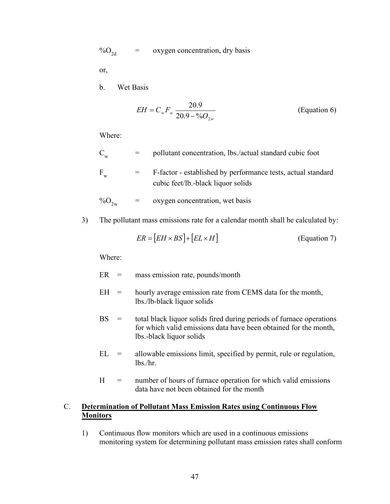$\%O_{2d}$  = oxygen concentration, dry basis

or,

b. Wet Basis

$$
EH = C_w F_w \frac{20.9}{20.9 - \%O_{2w}}
$$
 (Equation 6)

Where:

$$
C_w = \text{pollutant concentration, lbs.}/\text{actual standard cubic foot}
$$
\n
$$
F_w = F-factor - \text{established by performance tests, actual standard cubic feet/lb.-black liquid}
$$

$$
\%O_{2w} = \text{oxygen concentration, wet basis}
$$

3) The pollutant mass emissions rate for a calendar month shall be calculated by:

$$
ER = [EH \times BS] + [EL \times H]
$$
 (Equation 7)

Where:

ER = mass emission rate, pounds/month

- $EH =$  hourly average emission rate from CEMS data for the month, lbs./lb-black liquor solids
- BS = total black liquor solids fired during periods of furnace operations for which valid emissions data have been obtained for the month, lbs.-black liquor solids
- $EL =$  allowable emissions limit, specified by permit, rule or regulation, lbs./hr.
- $H =$  number of hours of furnace operation for which valid emissions data have not been obtained for the month

# C. **Determination of Pollutant Mass Emission Rates using Continuous Flow Monitors**

1) Continuous flow monitors which are used in a continuous emissions monitoring system for determining pollutant mass emission rates shall conform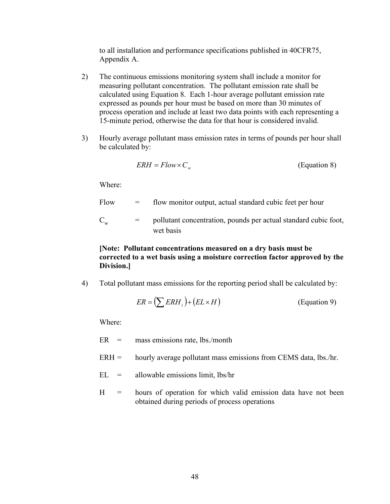to all installation and performance specifications published in 40CFR75, Appendix A.

- 2) The continuous emissions monitoring system shall include a monitor for measuring pollutant concentration. The pollutant emission rate shall be calculated using Equation 8. Each 1-hour average pollutant emission rate expressed as pounds per hour must be based on more than 30 minutes of process operation and include at least two data points with each representing a 15-minute period, otherwise the data for that hour is considered invalid.
- 3) Hourly average pollutant mass emission rates in terms of pounds per hour shall be calculated by:

$$
ERH = Flow \times C_w
$$
 (Equation 8)

Where:

| Flow        | $=$ | flow monitor output, actual standard cubic feet per hour                     |
|-------------|-----|------------------------------------------------------------------------------|
| $\mathbf C$ | $=$ | pollutant concentration, pounds per actual standard cubic foot,<br>wet basis |

# **[Note: Pollutant concentrations measured on a dry basis must be corrected to a wet basis using a moisture correction factor approved by the Division.]**

4) Total pollutant mass emissions for the reporting period shall be calculated by:

$$
ER = \left(\sum ERH_i\right) + \left(EL \times H\right) \tag{Equation 9}
$$

Where:

- $ER =$  mass emissions rate, lbs./month
- $ERH =$  hourly average pollutant mass emissions from CEMS data, lbs./hr.
- $EL =$  allowable emissions limit, lbs/hr
- $H =$  hours of operation for which valid emission data have not been obtained during periods of process operations